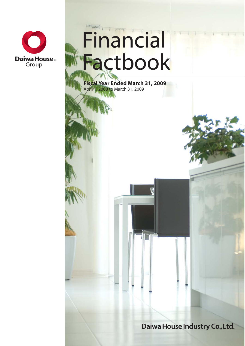

# Financial Factbook

**Fiscal Year Ended March 31, 2009** April 1, 2008 to March 31, 2009

Daiwa House Industry Co., Ltd.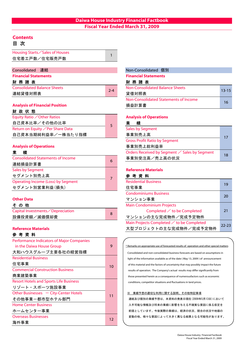# **Contents**

# 目 次

| Housing Starts Sales of Houses |  |
|--------------------------------|--|
| 住宅着工戸数/住宅販売戸数                  |  |
|                                |  |

| Consolidated 連結                    |         | Non-Consolidated 個別             |
|------------------------------------|---------|---------------------------------|
| <b>Financial Statements</b>        |         | <b>Financial Statements</b>     |
| 財務諸表                               |         | 財務諸表                            |
| <b>Consolidated Balance Sheets</b> | $2 - 4$ | Non-Consolidated Balance Sheets |
| 連結貸借対照表                            |         | 貸借対照表                           |

#### **Analysis of Financial Position**

#### 財 政 状 態

| Equity Ratio $\angle$ Other Ratios | <b>Analysis</b> |
|------------------------------------|-----------------|
| 自己資本比率/その他の比率                      | 績<br>苿          |
| Return on Equity ∕Per Share Data   | Sales by        |
| 自己資本当期純利益率/一株当たり指標                 | 事業別             |

| <b>Consolidated Statements of Income</b><br>連結損益計算書 | 6 | 事業別受注高/売」                   |
|-----------------------------------------------------|---|-----------------------------|
| <b>Sales by Segment</b>                             |   | <b>Reference Material</b>   |
| セグメント別売上高                                           |   | 参考資料                        |
| <b>Operating Income (Loss) by Segment</b>           |   | <b>Residential Business</b> |
| セグメント別営業利益(損失)                                      |   | 住宅事業                        |

#### **Other Data**

|--|--|--|

| Capital Investments <i>Depreciation</i> | Completed $\angle$ to be Completed |
|-----------------------------------------|------------------------------------|
| 設備投資額/減価償却費                             | マンションの主な完成物件/完成予定物件                |

#### **Reference Materials**

#### 参 考 資 料

| Performance Indicators of Major Companies     |    |      |
|-----------------------------------------------|----|------|
| in the Daiwa House Group                      | 9  | * Re |
| 大和ハウスグループ主要各社の経営指標                            |    | Co   |
| <b>Residential Business</b>                   |    | lic  |
| 住宅事業                                          | 10 | of   |
| <b>Commercial Construction Business</b>       |    | re   |
| 商業建築事業                                        |    | th   |
| <b>Resort Hotels and Sports Life Business</b> |    | C    |
| リゾート・スポーツ施設事業                                 |    |      |
| Other Businesses - City-Center Hotels         | 11 | X    |
| その他事業ー都市型ホテル部門                                |    | 迫    |
| <b>Home Center Business</b>                   |    | J    |
| ホームセンター事業                                     |    | 甫    |
| <b>Overseas Businesses</b>                    | 12 | 3    |
| 海外事業                                          |    |      |

| Non-Consolidated 個別                   |           |
|---------------------------------------|-----------|
| <b>Financial Statements</b>           |           |
| 財務諸表                                  |           |
| Non-Consolidated Balance Sheets       | $13 - 15$ |
| 貸借対照表                                 |           |
| Non-Consolidated Statements of Income | 16        |
| 損益計算書                                 |           |

#### **Analysis of Operations**

# **Sales by Segment** 事業別売上高 Gross Profit Ratio by Segment Analysis of Operations <br>
コンファイル おくちゃく あつかん 事業別売上総利益率 **業 績 the set of the set of the Secure Corders Received by Segment / Sales by Segment**

17

18

## **Reference Materials**

事業別受注高/売上高の状況

| セグメント別売上高                                 |   | 参考資料                                      |           |
|-------------------------------------------|---|-------------------------------------------|-----------|
| <b>Operating Income (Loss) by Segment</b> |   | <b>Residential Business</b>               | 19        |
| セグメント別営業利益(損失)                            |   | 住宅事業                                      |           |
|                                           |   | <b>Condominiums Business</b>              | <b>20</b> |
| <b>Other Data</b>                         |   | マンション事業                                   |           |
| その他                                       |   | <b>Main Condominium Projects</b>          |           |
| Capital Investments / Depreciation        | 8 | Completed $\angle$ to be Completed        | 21        |
| 設備投資額/減価償却費                               |   | マンションの主な完成物件/完成予定物件                       |           |
|                                           |   | Main Projects Completed ∕ to be Completed | $22 - 23$ |
| <b>Reference Materials</b>                |   | 大型プロジェクトの主な完成物件/完成予定物件                    |           |
|                                           |   |                                           |           |

# Consolidated and non-consolidated business forecasts are based on assumptions in light of the information available as of the date ( May 13, 2009 ) of announcement \* Remarks on appropriate use of forecasted results of operation and other special matters

conditions, competitor situations and fluctuations in land prices. of this material and the factors of uncertainty that may possibly impact the future results of operation. The Company's actual results may differ significantly from those presented herein as a consequence of numerousfactors such as economic

#### ※ 業績予想の適切な利用に関する説明、その他特記事項

入手可能な情報及び将来の業績に影響を与える不確実な要因に係る仮定を 前提としています。今後実際の業績は、経済の状況、競合の状況や地価の 変動の他、様々な要因によって大きく異なる結果となる可能性があります。 連結及び個別の業績予想は、本資料の発表日現在(2009年5月13日)において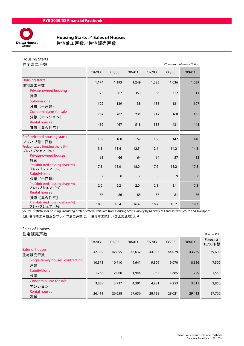

# **Housing Starts / Sales of Houses**<br>Daiwa House。 住宅着工戸数/住宅販売戸数 住宅着工戸数/住宅販売戸数

| <b>Housing Starts</b><br>住宅着工戸数                |                |        |                |        |              | (Thousands of units / 千戸) |
|------------------------------------------------|----------------|--------|----------------|--------|--------------|---------------------------|
|                                                | '04/03         | '05/03 | '06/03         | '07/03 | '08/03       | '09/03                    |
| <b>Housing starts</b><br>住宅着工戸数                | 1,174          | 1,193  | 1,249          | 1,285  | 1,036        | 1,039                     |
| Private-owned housing<br>持家                    | 373            | 367    | 353            | 356    | 312          | 311                       |
| <b>Subdivisions</b><br>分譲(一戸建)                 | 129            | 139    | 138            | 138    | 121          | 107                       |
| Condominiums for sale<br>分譲(マンション)             | 202            | 207    | 231            | 242    | 160          | 165                       |
| <b>Rental houses</b><br>貸家【集合住宅】               | 459            | 467    | 518            | 538    | 431          | 445                       |
|                                                |                |        |                |        |              |                           |
| Prefabricated housing starts<br>プレハブ着工戸数       | 159            | 160    | 157            | 160    | 147          | 148                       |
| Prefabricated housing share (%)<br>プレハブシェア (%) | 13.5           | 13.4   | 12.5           | 12.4   | 14.2         | 14.3                      |
| <b>Private-owned houses</b><br>持家              | 65             | 66     | 64             | 64     | 57           | 55                        |
| Prefabricated housing share (%)<br>プレハブシェア (%) | 17.5           | 18.0   | 18.0           | 17.9   | 18.2         | 17.8                      |
| <b>Subdivisions</b><br>分讓 (一戸建)                | $\overline{7}$ | 8      | $\overline{7}$ | 8      | $\mathbf{q}$ | 6                         |
| Prefabricated housing share (%)<br>プレハブシェア (%) | 2.0            | 2.2    | 2.0            | 2.1    | 3.1          | 2.3                       |
| <b>Rental houses</b><br>貸家【集合住宅】               | 86             | 86     | 85             | 87     | 81           | 86                        |
| Prefabricated housing share (%)<br>プレハブシェア (%) | 18.8           | 18.4   | 16.4           | 16.2   | 18.7         | 19.3                      |

Source: Statistics for housing (including prefabricated) starts are from Housing Starts Survey by Ministry of Land, Infrastructure and Transport. (注)住宅着工戸数及びプレハブ着工戸数は、「住宅着工統計」(国土交通省)より

#### Sales of Houses

|  | 住宅販売戸数 |  |
|--|--------|--|
|--|--------|--|

| 住宅販売戸数                                  |        |        |        |        |        |        | (Units / 戸)          |
|-----------------------------------------|--------|--------|--------|--------|--------|--------|----------------------|
|                                         | '04/03 | '05/03 | '06/03 | '07/03 | '08/03 | '09/03 | Forecast<br>'10/03予想 |
| Sales of houses<br>住宅販売戸数               | 42,392 | 42,855 | 43,632 | 44,983 | 44,029 | 43,239 | 39,600               |
| Single-family houses, contracting<br>戸建 | 10,378 | 10,410 | 9,641  | 9,309  | 9,070  | 8,586  | 7,500                |
| <b>Subdivisions</b><br>分譲               | 1,765  | 2,060  | 1,944  | 1,955  | 1,685  | 1,729  | 1,550                |
| Condominiums for sale<br>マンション          | 3,838  | 3,727  | 4,391  | 4,981  | 4,253  | 3,511  | 2,850                |
| <b>Rental houses</b><br>集合              | 26,411 | 26,658 | 27,656 | 28,738 | 29,021 | 29,413 | 27,700               |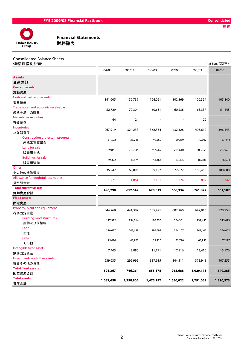

| <b>Consolidated Balance Sheets</b> |
|------------------------------------|
|                                    |

| 連結貸借対照表                             |           |           |           |           |           | (¥Million / 百万円) |
|-------------------------------------|-----------|-----------|-----------|-----------|-----------|------------------|
|                                     | '04/03    | '05/03    | '06/03    | '07/03    | '08/03    | '09/03           |
| <b>Assets</b>                       |           |           |           |           |           |                  |
| 資産の部                                |           |           |           |           |           |                  |
| <b>Current assets</b>               |           |           |           |           |           |                  |
| 流動資産                                |           |           |           |           |           |                  |
| Cash and cash equivalents           | 141,605   | 150,739   | 124,021   | 102,369   | 100,354   | 105,840          |
| 現金預金                                |           |           |           |           |           |                  |
| Trade notes and accounts receivable | 52,729    | 70,304    | 60,631    | 60,238    | 63,337    | 51,445           |
| 受取手形·売掛金                            |           |           |           |           |           |                  |
| <b>Marketable securities</b>        | 64        | 24        |           |           | 20        |                  |
| 有価証券                                |           |           |           |           |           |                  |
| <b>Inventories</b>                  | 267,919   | 324,238   | 368,334   | 432,328   | 495,612   | 396,443          |
| たな卸資産                               |           |           |           |           |           |                  |
| Construction projects in progress   | 31,592    | 35,248    | 49,560    | 59,259    | 72,602    | 57,444           |
| 未成工事支出金                             |           |           |           |           |           |                  |
| Land for sale                       | 169,841   | 219,944   | 247,569   | 284,610   | 308,055   | 237,621          |
| 販売用土地                               |           |           |           |           |           |                  |
| <b>Buildings for sale</b>           | 49,372    | 45,574    | 48,464    | 63,375    | 87,686    | 76,574           |
| 販売用建物                               |           |           |           |           |           |                  |
| Other                               | 35,742    | 69,096    | 69,192    | 72,672    | 103,450   | 108,800          |
| その他の流動資産                            |           |           |           |           |           |                  |
| Allowance for doubtful receivables  | $-1,771$  | $-1,861$  | $-2,161$  | $-1,274$  | -897      | $-1,342$         |
| 貸倒引当金                               |           |           |           |           |           |                  |
| <b>Total current assets</b>         | 496,290   | 612,542   | 620,019   | 666,334   | 761,877   | 661,187          |
| 流動資産合計                              |           |           |           |           |           |                  |
| <b>Fixed assets</b>                 |           |           |           |           |           |                  |
| 固定資産                                |           |           |           |           |           |                  |
| Property, plant and equipment       | 344,268   | 441,387   | 505,471   | 602,260   | 642,816   | 728,953          |
| 有形固定資産                              |           |           |           |           |           |                  |
| <b>Buildings and structures</b>     | 117,912   | 154,714   | 180,550   | 204,361   | 237,455   | 315,673          |
| 建物及び構築物                             |           |           |           |           |           |                  |
| Land                                | 210,677   | 243,698   | 286,699   | 344,107   | 341,407   | 356,002          |
| 土地                                  |           |           |           |           |           |                  |
| Other                               | 15,676    | 42,973    | 38,220    | 53,790    | 63,952    | 57,277           |
| その他                                 |           |           |           |           |           |                  |
| Intangible fixed assets             | 7,463     | 8,880     | 11,791    | 17,116    | 12,410    | 13,176           |
| 無形固定資産                              |           |           |           |           |           |                  |
| Investments and other assets        | 239,635   | 295,995   | 337,915   | 344,311   | 373,948   | 407,255          |
| 投資その他の資産                            |           |           |           |           |           |                  |
| <b>Total fixed assets</b>           | 591,367   | 746,264   | 855,178   | 963,688   | 1,029,175 | 1,149,385        |
| 固定資産合計                              |           |           |           |           |           |                  |
| <b>Total assets</b>                 | 1,087,658 | 1,358,806 | 1,475,197 | 1,630,022 | 1,791,052 | 1,810,573        |
| 資産合計                                |           |           |           |           |           |                  |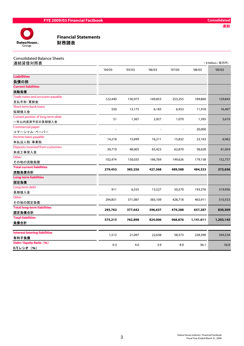

**CONTENTS (STATE SETA)**<br> **Financial Statements**<br> **財務諸表** 

| <b>Consolidated Balance Sheets</b><br>連結貸借対照表 |         |         |         |         |           | (¥Million / 百万円) |
|-----------------------------------------------|---------|---------|---------|---------|-----------|------------------|
|                                               | '04/03  | '05/03  | 06/03   | '07/03  | '08/03    | '09/03           |
| <b>Liabilities</b>                            |         |         |         |         |           |                  |
| 負債の部                                          |         |         |         |         |           |                  |
| <b>Current liabilities</b>                    |         |         |         |         |           |                  |
| 流動負債                                          |         |         |         |         |           |                  |
| Trade notes and accounts payable              | 122,440 | 156,973 | 169,853 | 253,255 | 189,860   | 129,843          |
| 支払手形·買掛金                                      |         |         |         |         |           |                  |
| Short-term bank loans                         | 550     | 13,175  | 6,183   | 6,933   | 11,918    | 16,407           |
| 短期借入金                                         |         |         |         |         |           |                  |
| Current portion of long-term debt             | 51      | 1,367   | 2,927   | 1,070   | 1,595     | 5,610            |
| 一年以内返済予定の長期借入金                                |         |         |         |         |           |                  |
| Commercial paper                              |         |         |         |         | 20,000    |                  |
| コマーシャル・ペーパー                                   |         |         |         |         |           |                  |
| Income taxes payable                          | 14,218  | 15,699  | 16,211  | 15,832  | 23,163    | 6,962            |
| 未払法人税·事業税                                     |         |         |         |         |           |                  |
| Deposits received from customers              | 39,719  | 48,005  | 65,423  | 62,870  | 58,628    | 61,054           |
| 未成工事受入金                                       |         |         |         |         |           |                  |
| Other                                         | 102,474 | 150,035 | 166,769 | 149,626 | 179,158   | 152,757          |
| その他の流動負債                                      |         |         |         |         |           |                  |
| <b>Total current liabilities</b>              | 279,453 | 385,256 | 427,368 | 489,588 | 484,323   | 372,636          |
| 流動負債合計                                        |         |         |         |         |           |                  |
| <b>Long-term liabilities</b>                  |         |         |         |         |           |                  |
| 固定負債                                          |         |         |         |         |           |                  |
| Long-term debt                                | 911     | 6,555   | 13,527  | 50,570  | 193,376   | 319,956          |
| 長期借入金                                         |         |         |         |         |           |                  |
| Other                                         | 294,851 | 371,087 | 383,109 | 428,718 | 463,911   | 510,553          |
| その他の固定負債                                      |         |         |         |         |           |                  |
| <b>Total long-term liabilities</b>            | 295,762 | 377,642 | 396,637 | 479,288 | 657,287   | 830,509          |
| 固定負債合計                                        |         |         |         |         |           |                  |
| <b>Total liabilities</b>                      | 575,215 | 762,898 | 824,006 | 968,876 | 1,141,611 | 1,203,145        |
| 負債合計                                          |         |         |         |         |           |                  |
| <b>Interest-bearing liabilities</b>           |         |         |         |         |           |                  |
| 有利子負債                                         | 1,512   | 21,097  | 22,638  | 58,573  | 228,390   | 344,534          |
| <b>Debt / Equity Ratio (%)</b>                | 0.3     | 4.0     | 3.9     | 8.9     | 36.1      | 56.8             |
| D/Eレシオ (%)                                    |         |         |         |         |           |                  |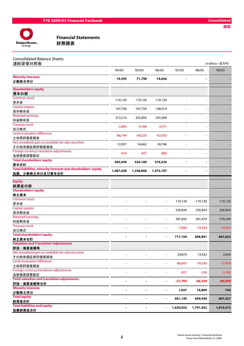

| <b>Consolidated Balance Sheets</b> |  |
|------------------------------------|--|
| 造灶伐供分肥主                            |  |

| 連結貸借対照表                                                        |                          |           |                          |                |                          | (¥Million / 百万円) |
|----------------------------------------------------------------|--------------------------|-----------|--------------------------|----------------|--------------------------|------------------|
|                                                                | '04/03                   | '05/03    | 06/03                    | '07/03         | '08/03                   | '09/03           |
| <b>Minority Interests</b><br>少数株主持分                            | 19,393                   | 71,798    | 74,656                   | ٠              | $\overline{\phantom{a}}$ |                  |
| <b>Shareholders' equity</b>                                    |                          |           |                          |                |                          |                  |
| 資本の部<br><b>Common stock</b>                                    |                          |           |                          |                |                          |                  |
| 資本金                                                            | 110,120                  | 110,120   | 110,120                  |                |                          |                  |
| <b>Capital surplus</b>                                         |                          |           |                          |                |                          |                  |
| 資本剰余金                                                          | 147,756                  | 147,759   | 148,019                  |                | $\overline{\phantom{a}}$ |                  |
| <b>Retained earnings</b>                                       |                          |           |                          |                |                          |                  |
| 利益剰余金                                                          | 313,214                  | 325,893   | 355,494                  |                | $\overline{\phantom{a}}$ |                  |
| <b>Treasury stock</b>                                          |                          |           |                          |                |                          |                  |
| 自己株式                                                           | $-3,883$                 | $-4,168$  | $-3,571$                 |                |                          |                  |
| Land revaluation difference                                    |                          |           |                          |                |                          |                  |
| 土地再評価差額金                                                       | $-86,199$                | $-69,229$ | $-63,392$                | $\blacksquare$ | $\overline{\phantom{a}}$ |                  |
| Net unrealized gain on available-for-sale securities           |                          |           |                          |                |                          |                  |
| その他有価証券評価差額金                                                   | 12,957                   | 14,662    | 30,746                   | $\overline{a}$ | $\overline{\phantom{a}}$ |                  |
| Foreign currency translation adjustments                       |                          |           |                          | $\blacksquare$ |                          |                  |
| 為替換算調整勘定                                                       | $-916$                   | $-927$    | $-882$                   |                | $\overline{\phantom{a}}$ |                  |
| <b>Total shareholders' equity</b>                              | 493,049                  | 524,109   | 576,534                  |                | $\blacksquare$           |                  |
| 資本合計                                                           |                          |           |                          |                |                          |                  |
| Total liabilities, minority interests and shareholders' equity | 1,087,658                | 1,358,806 | 1,475,197                | ٠              |                          |                  |
| 負債、少数株主持分及び資本合計                                                |                          |           |                          |                |                          |                  |
| <b>Equity</b>                                                  |                          |           |                          |                |                          |                  |
| 純資産の部                                                          |                          |           |                          |                |                          |                  |
| <b>Shareholders' equity</b>                                    |                          |           |                          |                |                          |                  |
| 株主資本                                                           |                          |           |                          |                |                          |                  |
| <b>Common stock</b>                                            |                          |           |                          |                |                          |                  |
| 資本金                                                            | L,                       |           | $\overline{\phantom{a}}$ | 110,120        | 110,120                  | 110,120          |
| <b>Capital surplus</b>                                         |                          |           |                          |                |                          |                  |
| 資本剰余金                                                          | ÷                        |           | $\overline{\phantom{a}}$ | 226,834        | 226,824                  | 226,824          |
| Retained earnings                                              |                          |           |                          |                |                          |                  |
| 利益剰余金                                                          |                          |           | $\overline{\phantom{a}}$ | 387,842        | 381,479                  | 370,240          |
| <b>Treasury stock</b>                                          |                          |           |                          |                |                          |                  |
| 自己株式                                                           |                          |           |                          | $-7,692$       | $-19,534$                | $-19,553$        |
| <b>Total shareholders' equity</b>                              |                          |           |                          |                |                          |                  |
| 株主資本合計                                                         |                          |           | ×,                       | 717,104        | 698,891                  | 687,632          |
| <b>Valuation and Translation Adjustments</b>                   |                          |           |                          |                |                          |                  |
| 評価・換算差額等                                                       |                          |           |                          |                |                          |                  |
| Net unrealized gain on available-for-sale securities           |                          |           |                          | 29,873         | 13,432                   | 2,034            |
| その他有価証券評価差額金                                                   |                          |           |                          |                |                          |                  |
| Land revaluation difference                                    |                          |           |                          | $-86,847$      | $-79,195$                | $-77,878$        |
| 土地再評価差額金                                                       |                          |           |                          |                |                          |                  |
| Foreign currency translation adjustments                       | $\overline{\phantom{0}}$ |           |                          | $-821$         | $-556$                   | $-5,105$         |
| 為替換算調整勘定                                                       |                          |           |                          |                |                          |                  |
| <b>Total valuation and translation adjustments</b>             | ÷                        |           | ٠                        | $-57,795$      | $-66,320$                | $-80,949$        |
| 評価・換算差額等合計                                                     |                          |           |                          |                |                          |                  |
| <b>Minority Interests</b>                                      |                          |           |                          | 1,837          | 16,869                   | 744              |
| 少数株主持分                                                         |                          |           |                          |                |                          |                  |
| <b>Total equity</b>                                            |                          |           | $\blacksquare$           | 661,145        | 649,440                  | 607,427          |
| 純資産合計<br><b>Total liabilities and equity</b>                   |                          |           |                          |                |                          |                  |
| <u>負債純資産合計</u>                                                 |                          |           |                          | 1,630,022      | 1,791,052                | 1,810,573        |
|                                                                |                          |           |                          |                |                          |                  |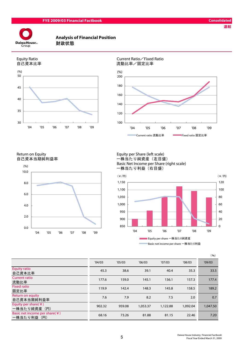

# Analysis of Financial Position







Return on Equity<br>自己資本当期純利益率 一株当たり純資産(左目盛



一株当たり純資産(左目盛) Basic Net Income per Share (right scale) 一株当たり利益(右目盛)



|                                                          |        |        |          |          |          | (96)     |
|----------------------------------------------------------|--------|--------|----------|----------|----------|----------|
|                                                          | '04/03 | '05/03 | '06/03   | '07/03   | '08/03   | '09/03   |
| <b>Equity ratio</b><br>自己資本比率                            | 45.3   | 38.6   | 39.1     | 40.4     | 35.3     | 33.5     |
| <b>Current ratio</b><br>流動比率                             | 177.6  | 159.0  | 145.1    | 136.1    | 157.3    | 177.4    |
| <b>Fixed ratio</b><br>固定比率                               | 119.9  | 142.4  | 148.3    | 145.8    | 158.5    | 189.2    |
| Return on equity<br>自己資本当期純利益率                           | 7.6    | 7.9    | 8.2      | 7.5      | 2.0      | 0.7      |
| Equity per share( $\angle$ )<br>一株当たり純資産 (円)             | 902.32 | 959.08 | 1,053.37 | 1,122.88 | 1,092.04 | 1,047.50 |
| Basic net income per share( $\angle$ )<br>一株当たり利益<br>(H) | 68.16  | 73.26  | 81.88    | 81.15    | 22.46    | 7.20     |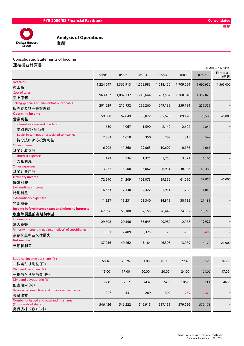

Analysis of Operations<br>業績

#### Consolidated Statements of Income

連結損益計算書

| 注州以业印 开 日                                                  |           |           |           |           |           |           | (¥Million / 百万円)     |
|------------------------------------------------------------|-----------|-----------|-----------|-----------|-----------|-----------|----------------------|
|                                                            | '04/03    | '05/03    | '06/03    | '07/03    | '08/03    | '09/03    | Forecast<br>'10/03予想 |
| Net sales<br>売上高                                           | 1,224,647 | 1,365,913 | 1,528,983 | 1,618,450 | 1,709,254 | 1,690,956 | 1,565,000            |
| Cost of sales                                              | 963,457   | 1,082,132 | 1,213,644 | 1,283,587 | 1,360,348 | 1,357,820 |                      |
| 売上原価                                                       |           |           |           |           |           |           |                      |
| Selling, general and administrative expenses<br>販売費及び一般管理費 | 201,529   | 215,932   | 235,266   | 249,183   | 259,784   | 259,555   |                      |
| <b>Operating income</b>                                    |           |           |           |           |           |           |                      |
| 営業利益                                                       | 59,660    | 67,849    | 80,072    | 85,678    | 89,120    | 73,580    | 45,000               |
| Interest income and dividends                              |           |           |           |           |           |           |                      |
| 受取利息·配当金                                                   | 650       | 1,067     | 1,590     | 2,142     | 2,602     | 2,840     |                      |
| Equity in earnings of associated companies                 | 2,383     | 1,610     | 350       | 289       | 315       | 542       |                      |
| 持分法による投資利益                                                 |           |           |           |           |           |           |                      |
| Other income<br>営業外収益計                                     | 16,902    | 11,860    | 29,063    | 10,609    | 10,176    | 12,663    |                      |
| Interest expense                                           |           |           |           |           |           |           |                      |
| 支払利息                                                       | 422       | 736       | 1,321     | 1,750     | 3,371     | 5,160     |                      |
| Other expenses                                             |           |           |           |           |           |           |                      |
| 営業外費用計                                                     | 3,972     | 5,500     | 6,062     | 6,931     | 38,006    | 46,388    |                      |
| <b>Ordinary income</b>                                     |           |           |           |           |           |           |                      |
| 経常利益                                                       | 72,590    | 74,209    | 103,073   | 89,356    | 61,290    | 39,855    | 45,000               |
| <b>Extraordinary income</b>                                | 6,633     | 2,130     | 2,422     | 1,911     | 1,708     | 1,046     |                      |
| 特別利益                                                       |           |           |           |           |           |           |                      |
| <b>Extraordinary expenses</b>                              | 11,327    | 13,231    | 23,340    | 14,818    | 38,135    | 27,181    |                      |
| 特別損失                                                       |           |           |           |           |           |           |                      |
| Income before income taxes and minority interests          | 67,896    | 63,108    | 82,155    | 76,449    | 24,862    | 13,720    |                      |
| 税金等調整前当期純利益                                                |           |           |           |           |           |           |                      |
| Income taxes                                               | 29,608    | 20,356    | 33,645    | 29,982    | 12,068    | 10,029    |                      |
| 法人税等                                                       |           |           |           |           |           |           |                      |
| Minority interests in net income(loss) of subsidiaries     | 1,031     | 2,489     | 3,325     | 73        | $-285$    | $-479$    |                      |
| 少数株主利益又は損失                                                 |           |           |           |           |           |           |                      |
| <b>Net income</b>                                          | 37,256    | 40,262    | 45,184    | 46,393    | 13,079    | 4,170     | 21,000               |
| 当期純利益                                                      |           |           |           |           |           |           |                      |
| Basic net income per share $(\nleq)$                       | 68.16     | 73.26     | 81.88     | 81.15     | 22.46     | 7.20      | 36.26                |
| 一株当たり利益(円)                                                 |           |           |           |           |           |           |                      |
| Dividend per share $(\nleq)$                               | 15.00     | 17.00     | 20.00     | 20.00     | 24.00     | 24.00     | 17.00                |
| 一株当たり配当金(円)                                                |           |           |           |           |           |           |                      |
| Dividend payout ratio (%)                                  | 22.0      | 23.2      | 24.4      | 24.6      | 106.8     | 333.4     | 46.9                 |
| 配当性向(%)                                                    |           |           |           |           |           |           |                      |
| Balance between financial income and expenses              | 227       | 331       | 269       | 392       | $-769$    | $-2,320$  |                      |
| 金融収支<br>Number of issued and outstanding shares            |           |           |           |           |           |           |                      |
| (Thousands of share)                                       | 546,426   | 546,222   | 546,915   | 587,158   | 579,256   | 579,171   |                      |
| 発行済株式数 (千株)                                                |           |           |           |           |           |           |                      |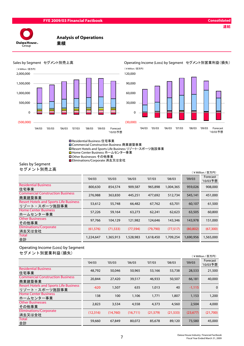

#### Analysis of Operations





# Sales by Segment セグメント別売上高 Operating Income (Loss) by Segment セグメント別営業利益(損失)





Residential Business 住宅事業 Commercial Construction Business 商業建築事業 **□ Resort Hotels and Sports Life Business リゾート・スポーツ施設事業** Home Center Business ホームセンター事業 **■Other Businesses その他事業** Eliminations/Corporate 消去又は全社

Sales by Segment

セグメント別売上高

|           |           |           |           |           |           | (¥Million / 百万円)     |
|-----------|-----------|-----------|-----------|-----------|-----------|----------------------|
| '04/03    | '05/03    | '06/03    | '07/03    | '08/03    | '09/03    | Forecast<br>'10/03予想 |
| 800,630   | 854,574   | 909,587   | 965,898   | 1,004,365 | 959,026   | 908,000              |
| 276,988   | 363,830   | 445,251   | 477,692   | 512,734   | 545,141   | 451,000              |
| 53,612    | 55,748    | 66,482    | 67,762    | 63,701    | 60,107    | 61,500               |
| 57,226    | 59,164    | 63,273    | 62,241    | 62,623    | 63,505    | 60,800               |
| 97,766    | 104,129   | 121,982   | 124,646   | 143,346   | 143,978   | 151,000              |
| (61, 576) | (71, 533) | (77, 594) | (79, 790) | (77, 517) | (80, 802) | (67, 300)            |
| 1,224,647 | 1,365,913 | 1,528,983 | 1,618,450 | 1,709,254 | 1,690,956 | 1,565,000            |
|           |           |           |           |           |           |                      |

#### Operating Income (Loss) by Segment セグメント別営業利益(損失)

|                                                                |           |          |          |           |           |           | (¥Million / 百万円)     |
|----------------------------------------------------------------|-----------|----------|----------|-----------|-----------|-----------|----------------------|
|                                                                | '04/03    | '05/03   | '06/03   | '07/03    | '08/03    | '09/03    | Forecast<br>'10/03予想 |
| <b>Residential Business</b><br>住宅事業                            | 48,792    | 50,046   | 50,965   | 53,166    | 53,738    | 28,533    | 21,500               |
| <b>Commercial Construction Business</b><br>商業建築事業              | 20,844    | 27,420   | 39,517   | 46,933    | 50,507    | 66,181    | 40,000               |
| <b>Resort Hotels and Sports Life Business</b><br>リゾート・スポーツ施設事業 | $-620$    | 1,507    | 635      | 1,013     | 40        | $-1,115$  | $\mathbf 0$          |
| <b>Home Center Business</b><br>ホームセンター事業                       | 138       | 100      | 1,106    | 1,771     | 1,807     | 1,153     | 1,200                |
| <b>Other Businesses</b><br>その他事業                               | 2,823     | 3,534    | 4,558    | 4,373     | 4,560     | 2.504     | 4,000                |
| Eliminations/Corporate<br>消去又は全社                               | (12, 316) | (14,760) | (16,711) | (21, 579) | (21, 533) | (23, 677) | (21,700)             |
| Total<br>合計                                                    | 59,660    | 67,849   | 80,072   | 85,678    | 89,120    | 73,580    | 45,000               |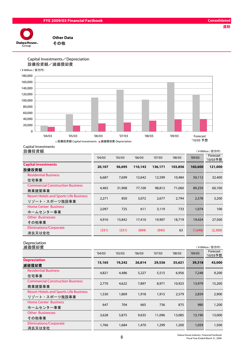#### FYE 2009/03 Financial Factbook Consolidated

連結



Other Data

#### Capital Investments/Depreciation 設備投資額/減価償却費



Capital Investments

設備投資額 (¥Million / 百万円)

|                                                                | '04/03 | '05/03 | '06/03  | '07/03  | '08/03  | '09/03  | Forecast<br>'10/03予想 |
|----------------------------------------------------------------|--------|--------|---------|---------|---------|---------|----------------------|
| <b>Capital investments</b><br>設備投資額                            | 20,107 | 56,695 | 110,143 | 136,171 | 103,856 | 160,600 | 121,000              |
| <b>Residential Business</b><br>住宅事業                            | 6,687  | 7,699  | 12,642  | 12,599  | 10,484  | 50,112  | 32,400               |
| <b>Commercial Construction Business</b><br>商業建築事業              | 4,465  | 31,908 | 77,100  | 98,812  | 71,060  | 89,259  | 60,100               |
| <b>Resort Hotels and Sports Life Business</b><br>リゾート・スポーツ施設事業 | 2,271  | 850    | 3,072   | 2,677   | 2,794   | 2,378   | 3,200                |
| <b>Home Center Business</b><br>ホームセンター事業                       | 2,097  | 725    | 611     | 3,119   | 733     | 1,074   | 100                  |
| <b>Other Businesses</b><br>その他事業                               | 4,916  | 15,842 | 17,410  | 19,907  | 18,719  | 19,424  | 27,500               |
| Eliminations/Corporate<br>消去又は全社                               | (331)  | (331)  | (694)   | (945)   | 63      | (1,648) | (2,300)              |

#### Depreciation

| 減価償却費                                                          |        |        |        |        |        |        | (¥Million / 百万円)     |
|----------------------------------------------------------------|--------|--------|--------|--------|--------|--------|----------------------|
|                                                                | '04/03 | '05/03 | '06/03 | '07/03 | '08/03 | '09/03 | Forecast<br>'10/03予想 |
| <b>Depreciation</b><br>減価償却費                                   | 15,165 | 19,242 | 26,814 | 29,536 | 35,621 | 39,318 | 43,000               |
| <b>Residential Business</b><br>住宅事業                            | 4,821  | 4,486  | 5,227  | 5,515  | 6,956  | 7,248  | 9,200                |
| <b>Commercial Construction Business</b><br>商業建築事業              | 2,770  | 4,622  | 7,897  | 8,971  | 10,923 | 13,979 | 15,200               |
| <b>Resort Hotels and Sports Life Business</b><br>リゾート・スポーツ施設事業 | 1,530  | 1,869  | 1,918  | 1,915  | 2,579  | 2,859  | 2,900                |
| <b>Home Center Business</b><br>ホームセンター事業                       | 647    | 704    | 665    | 736    | 875    | 980    | 1,200                |
| <b>Other Businesses</b><br>その他事業                               | 3,628  | 5,875  | 9,635  | 11,096 | 13,085 | 13,190 | 13,000               |
| <b>Eliminations/Corporate</b><br>消去又は全社                        | 1,766  | 1,684  | 1,470  | 1,299  | 1,200  | 1,059  | 1,500                |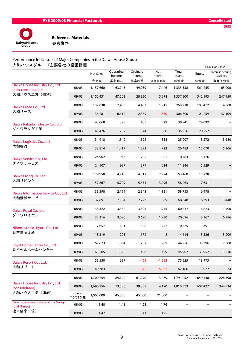

#### Performance Indicators of Major Companies in the Daiwa House Group 大和ハウスグループ主要各社の経営指標

| 大和ハウスグループ主要各社の経営指標                                   |                      |                         |                             |                            |                        |                        |               | (¥Million / 百万円)                         |
|------------------------------------------------------|----------------------|-------------------------|-----------------------------|----------------------------|------------------------|------------------------|---------------|------------------------------------------|
|                                                      |                      | <b>Net Sales</b><br>売上高 | Operating<br>income<br>営業利益 | Ordinary<br>income<br>経常利益 | Net<br>income<br>当期純利益 | Total<br>assets<br>総資産 | Equity<br>純資産 | Interest-bearing<br>liabilities<br>有利子負債 |
| Daiwa House Industry Co., Ltd.<br>(non-consolidated) | '08/03               | 1,157,660               | 63,245                      | 49,959                     | 7,446                  | 1,333,538              | 561,255       | 165,000                                  |
| 大和ハウス工業(個別)                                          | '09/03               | 1,152,431               | 47,503                      | 28,320                     | 5,578                  | 1,337,500              | 542,193       | 247,950                                  |
| Daiwa Lease Co., Ltd.                                | '08/03               | 137,038                 | 7,430                       | 4,403                      | 1,915                  | 268,738                | 103,412       | 4,500                                    |
| 大和リース                                                | '09/03               | 136,281                 | 6,412                       | 2,879                      | $-1,350$               | 306,700                | 101,259       | 37,109                                   |
| Daiwa Rakuda Industry Co., Ltd.                      | '08/03               | 43,068                  | 325                         | 405                        | 29                     | 38,941                 | 24,092        |                                          |
| ダイワラクダエ業                                             | '09/03               | 41,476                  | 232                         | 344                        | 88                     | 35,956                 | 20,252        |                                          |
| Daiwa Logistics Co., Ltd.                            | '08/03               | 34,918                  | 1,549                       | 1,522                      | 858                    | 25,007                 | 15,272        | 3,680                                    |
| 大和物流                                                 | '09/03               | 33,814                  | 1,417                       | 1,292                      | 722                    | 26,483                 | 15,670        | 5,306                                    |
| Daiwa Service Co., Ltd.                              | '08/03               | 24,902                  | 947                         | 705                        | 381                    | 10,483                 | 5,126         |                                          |
| ダイワサービス                                              | '09/03               | 24,107                  | 997                         | 877                        | 514                    | 11,246                 | 5,529         |                                          |
| Daiwa Living Co., Ltd.<br>大和リビング                     | '08/03               | 129,950                 | 4,716                       | 4,512                      | 2,974                  | 53,460                 | 15,228        |                                          |
|                                                      | '09/03               | 152,867                 | 5,729                       | 5,651                      | 3,296                  | 58,263                 | 17,631        |                                          |
| Daiwa Information Service Co., Ltd.<br>大和情報サービス      | '08/03               | 33,598                  | 2,199                       | 2,343                      | 1,181                  | 58,753                 | 6,478         |                                          |
|                                                      | '09/03               | 32,691                  | 2,534                       | 2,727                      | 669                    | 68,648                 | 6,793         | 3,448                                    |
| Daiwa Royal Co., Ltd.                                | '08/03               | 36,322                  | 3,332                       | 3,625                      | 1,955                  | 60,817                 | 6,823         | 1,400                                    |
| ダイワロイヤル                                              | '09/03               | 32,316                  | 3,020                       | 3,696                      | 1,930                  | 70,096                 | 8,167         | 6,786                                    |
| Nihon Jyutaku Ryutu Co., Ltd.                        | '08/03               | 17,657                  | 601                         | 520                        | 242                    | 10,525                 | 3,391         |                                          |
| 日本住宅流通                                               | '09/03               | 18,319                  | 205                         | 172                        | 8                      | 14,614                 | 3,326         | 3,909                                    |
| Royal Home Center Co., Ltd.                          | '08/03               | 62,623                  | 1,864                       | 1,732                      | 909                    | 44,956                 | 33,796        | 2,500                                    |
| ロイヤルホームセンター                                          | '09/03               | 63,505                  | 1,340                       | 1,496                      | 429                    | 45,207                 | 33,952        | 3,516                                    |
| Daiwa Resort Co., Ltd.                               | '08/03               | 53,530                  | 697                         | $-425$                     | $-1,653$               | 75,525                 | 18,975        |                                          |
| 大和リゾート                                               | '09/03               | 49,383                  | 95                          | $-845$                     | $-5,052$               | 67,186                 | 13,922        | 34                                       |
|                                                      | '08/03               | 1,709,254               | 89,120                      | 61,290                     | 13,079                 | 1,791,052              | 649,440       | 228,390                                  |
| Daiwa House Industry Co., Ltd.<br>(consolidated)     | '09/03               | 1,690,956               | 73,580                      | 39,855                     | 4,170                  | 1,810,573              | 607,427       | 344,534                                  |
| 大和ハウス工業(連結)                                          | forecast<br>'10/03予想 | 1,565,000               | 45,000                      | 45,000                     | 21,000                 | $\qquad \qquad -$      |               |                                          |
| Parent company's share of the Group<br>total (Times) | '08/03               | 1.48                    | 1.41                        | 1.23                       | 1.76                   | $\qquad \qquad -$      |               |                                          |
| 連単倍率 (倍)                                             | '09/03               | 1.47                    | 1.55                        | 1.41                       | 0.75                   |                        |               |                                          |
|                                                      |                      |                         |                             |                            |                        |                        |               |                                          |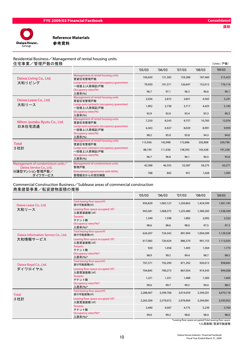

#### Residential Business/Management of rental housing units

| 住宅事業/管理戸数の推移                                                |                                                          |         |         |         |         | (Units / 戸数) |
|-------------------------------------------------------------|----------------------------------------------------------|---------|---------|---------|---------|--------------|
|                                                             |                                                          | '05/03  | '06/03  | '07/03  | '08/03  | '09/03       |
| Daiwa Living Co., Ltd.                                      | Management of rental housing units<br>賃貸住宅管理戸数           | 106,650 | 131,583 | 159,288 | 187,460 | 213,423      |
| 大和リビング                                                      | Lump-sum contracts (occupancy quarantee)<br>一括借上(入居保証)戸数 | 79,930  | 101,371 | 126,647 | 152,012 | 176,116      |
|                                                             | Occupancy rates(%)<br>入居率(%)                             | 96.7    | 97.1    | 96.3    | 96.6    | 96.1         |
| Daiwa Lease Co., Ltd.                                       | Management of rental housing units<br>賃貸住宅管理戸数           | 2,036   | 2,872   | 3,851   | 4,565   | 5,291        |
| 大和リース                                                       | Lump-sum contracts (occupancy quarantee)<br>一括借上(入居保証)戸数 | 1,902   | 2,738   | 3,717   | 4,425   | 5,183        |
|                                                             | Occupancy rates(%)<br>入居率(%)                             | 92.9    | 92.0    | 93.4    | 95.3    | 90.3         |
| Nihon Jyutaku Ryutu Co., Ltd.                               | Management of rental housing units<br>賃貸住宅管理戸数           | 7,250   | 8,543   | 9,757   | 10,783  | 12,076       |
| 日本住宅流通                                                      | Lump-sum contracts (occupancy quarantee)<br>一括借上(入居保証)戸数 | 6,363   | 6,927   | 8,029   | 8,991   | 9,959        |
|                                                             | Occupancy rates(%)<br>入居率(%)                             | 98.2    | 95.0    | 93.8    | 94.3    | 94.0         |
| <b>Total</b>                                                | Management of rental housing units<br>賃貸住宅管理戸数           | 115,936 | 142,998 | 172,896 | 202,808 | 230,790      |
| 3社計                                                         | Lump-sum contracts (occupancy quarantee)<br>一括借上(入居保証)戸数 | 88,195  | 111,036 | 138,393 | 165,428 | 191,258      |
|                                                             | Occupancy rates(%)<br>入居率(%)                             | 96.7    | 96.8    | 96.1    | 96.5    | 95.8         |
| Management of condominium units/<br>Daiwa Service Co., Ltd. | Management of condominium units<br>管理戸数                  | 42,388  | 46,355  | 52,587  | 58,275  | 63,271       |
| 分譲型マンション管理戸数/<br>ダイワサービス                                    | <b>Entrustment agreements with HOAs</b><br>管理組合からの受託棟数   | 788     | 865     | 951     | 1,028   | 1,095        |
|                                                             |                                                          |         |         |         |         |              |

#### Commercial Construction Business/Sublease areas of commercial construction 商業建築事業/転貸建物面積の推移

|                                     |                                                                           | '05/03    | '06/03    | '07/03    | '08/03    | '09/03                                                          |
|-------------------------------------|---------------------------------------------------------------------------|-----------|-----------|-----------|-----------|-----------------------------------------------------------------|
| Daiwa Lease Co., Ltd.               | Total leasing floor space(m <sup>2</sup> )<br>貸付可能面積(m <sup>2</sup> )     | 956,829   | 1,083,127 | 1,250,863 | 1,424,599 | 1,581,745                                                       |
| 大和リース                               | Leasing floor space occupied (m <sup>2</sup> )<br>入居賃貸面積(m <sup>2</sup> ) | 943,581   | 1,068,375 | 1,225,480 | 1,389,283 | 1,538,349                                                       |
|                                     | <b>Tenants</b><br>テナント数                                                   | 1,349     | 1,598     | 1,882     | 2,092     | 2,322                                                           |
|                                     | Occupancy rates(%)*<br>入居率(%)*                                            | 98.6      | 98.6      | 98.0      | 97.5      | 97.3                                                            |
| Daiwa Information Service Co., Ltd. | Total leasing floor space(m3)<br>貸付可能面積(m <sup>2</sup> )                  | 624,207   | 724,342   | 891,904   | 1,004,589 | 1,129,528                                                       |
| 大和情報サービス                            | Leasing floor space occupied (m <sup>2</sup> )<br>入居賃貸面積(m <sup>2</sup> ) | 617,083   | 720,424   | 886,370   | 991,153   | 1,113,035                                                       |
|                                     | <b>Tenants</b><br>テナント数                                                   | 920       | 1,058     | 1,405     | 1,564     | 1,773                                                           |
|                                     | Occupancy rates(%)*<br>入居率(%)*                                            | 98.9      | 99.5      | 99.4      | 98.7      | 98.5                                                            |
| Daiwa Royal Co., Ltd.               | Total leasing floor space(m <sup>2</sup> )<br>貸付可能面積(m <sup>2</sup> )     | 707,371   | 792,299   | 871,292   | 920,013   | 958,845                                                         |
| ダイワロイヤル                             | Leasing floor space occupied (m <sup>2</sup> )<br>入居賃貸面積(m <sup>2</sup> ) | 704,845   | 790,273   | 867,054   | 914,545   | 944,568                                                         |
|                                     | <b>Tenants</b><br>テナント数                                                   | 1,221     | 1,351     | 1,488     | 1,583     | 1,665                                                           |
|                                     | Occupancy rates(%)*<br>入居率(%)*                                            | 99.6      | 99.7      | 99.5      | 99.4      | 98.5                                                            |
| <b>Total</b>                        | Total leasing floor space(m3)<br>貸付可能面積(m <sup>2</sup> )                  | 2,288,407 | 2,599,768 | 3,014,059 | 3,349,201 | 3,670,118                                                       |
| 3社計                                 | Leasing floor space occupied (m <sup>2</sup> )<br>入居賃貸面積(m <sup>2</sup> ) | 2,265,509 | 2,579,072 | 2,978,904 | 3,294,981 | 3,595,952                                                       |
|                                     | <b>Tenants</b><br>テナント数                                                   | 3,490     | 4,007     | 4,775     | 5,239     | 5,760                                                           |
|                                     | Occupancy rates(%)*<br>入居率(%)*                                            | 99.0      | 99.2      | 98.8      | 98.4      | 98.0<br>*Leasing floor space occupied/Total leasing floor space |

ng floor spac<br>' \*入居面積/賃貸可能面積

連結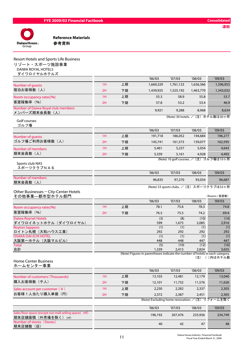

期末店舗数(店)

Reference Materials

| Resort Hotels and Sports Life Business<br>リゾート・スポーツ施設事業<br><b>DAIWA ROYAL HOTELS</b><br>ダイワロイヤルホテルズ |    |    |                                                                                        |              |               |                                                             |
|-----------------------------------------------------------------------------------------------------|----|----|----------------------------------------------------------------------------------------|--------------|---------------|-------------------------------------------------------------|
|                                                                                                     |    |    | '06/03                                                                                 | '07/03       | '08/03        | '09/03                                                      |
| Number of guests                                                                                    | 1H | 上期 | 1,669,329                                                                              | 1,761,123    | 1,636,366     | 1,596,953                                                   |
| 宿泊お客様数(人)                                                                                           | 2H | 下期 | 1,439,925                                                                              | 1,525,192    | 1,463,770     | 1,343,032                                                   |
| Room occupancy rates(%)                                                                             | 1H | 上期 | 55.3                                                                                   | 58.9         | 55.8          | 53.7                                                        |
| 客室稼働率 (%)                                                                                           | 2H | 下期 | 57.8                                                                                   | 53.2         | 53.4          | 46.9                                                        |
| Number of Daiwa Royal club members<br>メンバーズ期末会員数 (人)                                                |    |    | 9,921                                                                                  | 9,288        | 8,968         | 8,634                                                       |
| Golf courses<br>ゴルフ場                                                                                |    |    |                                                                                        |              |               | (Note) 30 hotels. / (注) ホテル数は30ヶ所                           |
|                                                                                                     |    |    | '06/03                                                                                 | '07/03       | '08/03        | '09/03                                                      |
| Number of guests                                                                                    | 1H | 上期 | 191,718                                                                                | 186,052      | 194,684       | 196,277                                                     |
| ゴルフ場ご利用お客様数 (人)                                                                                     | 2H | 下期 | 145,741                                                                                | 161,573      | 159,077       | 162,595                                                     |
| Number of members                                                                                   | 1H | 上期 | 5,461                                                                                  | 5,237        | 5,054         | 4,643                                                       |
| 期末会員数(人)                                                                                            | 2H | 下期 | 5,339                                                                                  | 5,161        | 4,928         | 4,492                                                       |
| Sports club NAS<br>スポーツクラブNAS                                                                       |    |    |                                                                                        |              |               | (Note) 10 golf courses. / (注) ゴルフ場は10ヶ所                     |
|                                                                                                     |    |    | '06/03                                                                                 | '07/03       | '08/03        | '09/03                                                      |
| Number of members<br>期末会員数 (人)                                                                      |    |    | 96,835                                                                                 | 97,270       | 93,034        | 96,687                                                      |
| Other Businesses - City-Center Hotels<br>その他事業––都市型ホテル部門                                            |    |    |                                                                                        |              |               | (Note) 53 sports clubs. / (注) スポーツクラブは53ヶ所<br>(Rooms / 客室数) |
|                                                                                                     |    |    | '06/03                                                                                 | '07/03       | '08/03        | '09/03                                                      |
| Room occupancy rates(%)                                                                             | 1H | 上期 | 78.1                                                                                   | 75.6         | 78.3          | 74.8                                                        |
| 客室稼働率 (%)                                                                                           | 2H | 下期 | 76.5                                                                                   | 75.5         | 74.2          | 69.4                                                        |
| <b>Daiwa Roynet Hotels</b><br>ダイワロイネットホテル(ダイワロイヤル)                                                  |    |    | (3)<br>599                                                                             | (8)<br>1,675 | (10)<br>2,085 | (14)<br>2,916                                               |
| <b>Royton Sapporo</b>                                                                               |    |    | (1)                                                                                    | (1)          | (1)           | (1)                                                         |
| ロイトン札幌 (大和ハウス工業)<br><b>OSAKA DAI-ICHI HOTEL</b>                                                     |    |    | 292<br>(1)                                                                             | 292<br>(1)   | 292<br>(1)    | 292<br>(1)                                                  |
| 大阪第一ホテル (大阪マルビル)                                                                                    |    |    | 448                                                                                    | 448          | 447           | 447                                                         |
| <b>Total</b>                                                                                        |    |    | (5)                                                                                    | (10)         | (12)          | (16)                                                        |
| 合計                                                                                                  |    |    | 1,339<br>(Note) Figures in parentheses indicate the number of hotels in each category. | 2,415        | 2,824         | 3,655                                                       |
| <b>Home Center Business</b><br>ホームセンター事業                                                            |    |    |                                                                                        |              | (注)           | ()内はホテル数                                                    |
|                                                                                                     |    |    | '06/03                                                                                 | '07/03       | '08/03        | '09/03                                                      |
| Number of customers (Thousands)                                                                     | 1H | 上期 | 13,103                                                                                 | 12,481       | 12,179        | 13,040                                                      |
| 購入お客様数 (千人)                                                                                         | 2H | 下期 | 12,101                                                                                 | 11,732       | 11,576        | 11,626                                                      |
| Sales account per customer $(\n 4)$                                                                 | 1H | 上期 | 2,230                                                                                  | 2,282        | 2,337         | 2,303                                                       |
| お客様1人当たり購入単価 (円)                                                                                    | 2H | 下期 | 2,372                                                                                  | 2,387        | 2,451         | 2,365                                                       |
|                                                                                                     |    |    | (Note) Excluding home renovation.                                                      |              |               | (注) リフォームを除く                                                |
|                                                                                                     |    |    | '06/03                                                                                 | '07/03       | '08/03        | '09/03                                                      |
| Sales floor space (except out-mall selling space) (m <sup>2</sup> )                                 |    |    |                                                                                        |              |               |                                                             |
| 期末店舗面積 (外売場を除く) (m2)<br>Number of stores (Stores)                                                   |    |    | 196,192                                                                                | 207,476      | 233,936       | 234,749                                                     |

42 48 47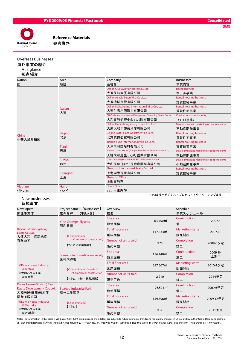

#### Overseas Businesses 海外事業の紹介

#### At a glance 拠点紹介

| <b>Nation</b>    | Area           | Company                                                           | <b>Businesses</b>                         |
|------------------|----------------|-------------------------------------------------------------------|-------------------------------------------|
| 国                | 地区             | 会社名                                                               | 事業内容                                      |
|                  |                | Dalian Civil Aviation Hotel Co., Ltd.                             | <b>Hotel business</b>                     |
|                  |                | 大連民航大厦有限公司                                                        | ホテル事業                                     |
|                  |                | Dalian Acacia Town Villa Co., Ltd.                                | <b>Rental housing business</b>            |
|                  |                | 大連槐城別墅有限公司                                                        | 賃貸住宅事業                                    |
|                  | <b>Dalian</b>  | Dalian Fujiazhuang International Villa Co., Ltd.                  | <b>Rental housing business</b>            |
|                  | 大連             | 大連付家庄国際村有限公司                                                      | 賃貸住宅事業                                    |
|                  |                | DH (Dalian) Administrative Management Consulting Center Co., Ltd. | Clerical work outsourcing                 |
|                  |                | 大和事務処理中心 (大連) 有限公司                                                | BPO事業*                                    |
|                  |                | Dalian Dahezhongsheng Estate Co., Ltd.                            | Development and marketing of condominiums |
|                  |                | 大連大和中盛房地産有限公司                                                     | 不動産開発事業                                   |
|                  | <b>Beijing</b> | Beijing East Palace Apartment Co., Ltd.                           | <b>Rental housing business</b>            |
| China<br>中華人民共和国 | 北京             | 北京東苑公寓有限公司                                                        | 賃貸住宅事業                                    |
|                  | Tianjin        | Tianjin Jiuhe International Villa Co., Ltd.                       | <b>Rental housing business</b>            |
|                  |                | 天津九河国際村有限公司                                                       | 賃貸住宅事業                                    |
|                  | 天津             | Tewoo Daiwa House (Tianjin) Real Estate Development Co., Ltd.     | Development and marketing of condominiums |
|                  |                | 天物大和房屋(天津)置業有限公司                                                  | 不動産開発事業                                   |
|                  | Suzhou         | Daiwa House (Suzhou) Real Estate Development Co., Ltd.            | Development and marketing of condominiums |
|                  | 蘇州             | 大和房屋(蘇州) 房地産開発有限公司                                                | 不動産開発事業                                   |
|                  |                | Shanghai International Realty Co., Ltd.                           | <b>Rental housing business</b>            |
|                  | Shanghai       | 上海国際房産有限公司                                                        | 賃貸住宅事業                                    |
|                  | 上海             | Shanghai Office                                                   |                                           |
|                  |                | 上海事務所                                                             |                                           |
| <b>Vietnam</b>   | Hanoi          | <b>Hanoi Office</b>                                               |                                           |
| ベトナム             | ハノイ            | ハノイ事務所                                                            |                                           |
|                  |                |                                                                   | *BPO事業=ビジネス・プロセス・アウトソーシング事業               |

#### New businesses

#### 新規事業

| Developers                                                               | [Businesses]<br>Project name                                                  | Overview                        |                        | Schedule                        |                |
|--------------------------------------------------------------------------|-------------------------------------------------------------------------------|---------------------------------|------------------------|---------------------------------|----------------|
| 開発事業体                                                                    | 物件名称<br>【事業内容】                                                                | 概要                              |                        | 事業スケジュール                        |                |
|                                                                          | <b>Yihe Champs-Elysees</b>                                                    | Site area<br>敷地面積               | 63,550 m <sup>2</sup>  | Construction<br>着工              | 2007.3         |
| Dalian Dahezhongsheng<br>Estate Co., Ltd.                                | 頤和香榭<br><b>[Condominium</b>                                                   | <b>Total floor area</b><br>延床面積 | 117,533 m <sup>2</sup> | <b>Marketing starts</b><br>販売開始 | 2007.10        |
| 大連大和中盛房地産<br>有限公司                                                        | $\angle$ Commercial construction]<br>【マンション/商業施設】                             | Number of units sold<br>販売戸数    | 975                    | Completion<br>竣工                | 2009.6予定       |
|                                                                          | Former site of medical university<br>医科大跡地                                    | Site area<br>敷地面積               | 156,440 m              | Construction<br>着工              | 2009 1H<br>上期中 |
| <b>X</b> Daiwa House Industry;<br>50% stake<br>※大和ハウス工業<br>50%出資         | 【Condominium/Hotels/<br>$\angle$ Commercial construction]<br>【マンション/ホテル/商業施設】 | <b>Total floor area</b><br>延床面積 | 587,567 m              | <b>Marketing starts</b><br>販売開始 | 2010.4予定       |
|                                                                          |                                                                               | Number of units sold<br>販売戸数    | 2,210                  | Completion<br>竣工                | 2014予定         |
| Daiwa House (Suzhou) Real<br>Estate Development Co., Ltd.<br>大和房屋(蘇州)房地産 | <b>Suzhou Industrial Park</b><br>蘇州工業園区                                       | Site area<br>敷地面積               | 76,571 m <sup>2</sup>  | Construction<br>着工              | 2009.6予定       |
| 開発有限公司<br><b>X</b> Daiwa House Industry;                                 | <b>[Condominium]</b>                                                          | <b>Total floor area</b><br>延床面積 | 159,596 m <sup>2</sup> | <b>Marketing starts</b><br>販売開始 | 2009.12予定      |
| 100% stake<br>※大和ハウス工業<br>100%出資                                         | 【マンション】                                                                       | Number of units sold<br>販売戸数    | 902                    | Completion<br>竣工                | 2011予定         |

Note: The information in this table is valid as of April 2009; but plans and their details are subject to future economic trends and regulatory changes in China, and by authorities in Dailan and Suzhou. 注)本表での掲載内容については、2009年4月現在のものであり、今後の状況や、中国及び大連市、蘇州市の不動産開発にかかわる規定や条例により、計画や内容が一部変更されることがあります。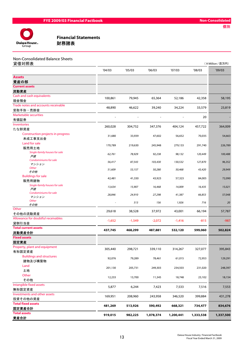

| Non-Consolidated Balance Sheets |  |
|---------------------------------|--|
|---------------------------------|--|

| 貸借対照表                                   |          |          |           |           |           | (¥Million / 百万円) |
|-----------------------------------------|----------|----------|-----------|-----------|-----------|------------------|
|                                         | '04/03   | '05/03   | '06/03    | '07/03    | '08/03    | '09/03           |
| <b>Assets</b><br>資産の部                   |          |          |           |           |           |                  |
| <b>Current assets</b>                   |          |          |           |           |           |                  |
| 流動資産                                    |          |          |           |           |           |                  |
| Cash and cash equivalents               | 100,861  | 79,945   | 65,364    | 52,186    | 42,358    | 58,195           |
| 現金預金                                    |          |          |           |           |           |                  |
| Trade notes and accounts receivable     | 48,890   | 46,622   | 39,240    | 34,224    | 33,579    | 23,819           |
| 受取手形·売掛金                                |          |          |           |           |           |                  |
| <b>Marketable securities</b>            |          | $\sim$   |           |           | 20        |                  |
| 有価証券<br><b>Inventories</b>              |          |          |           |           |           |                  |
| たな卸資産                                   | 260,028  | 304,752  | 347,376   | 404,124   | 457,722   | 364,009          |
| Construction projects in progress       |          |          |           |           |           |                  |
| 未成工事支出金                                 | 31,680   | 33,939   | 47,602    | 56,652    | 70,035    | 54,663           |
| Land for sale                           |          |          |           |           |           |                  |
| 販売用土地                                   | 170,789  | 219,630  | 245,948   | 279,133   | 291,740   | 226,789          |
| Single-family houses for sale           | 62,761   | 78,929   | 92,238    | 98,132    | 120,449   | 100,488          |
| 戸建<br>Condominiums for sale             |          |          |           |           |           |                  |
| マンション                                   | 56,417   | 87,543   | 103,430   | 130,532   | 127,870   | 96,352           |
| Other                                   | 51,609   | 53,157   | 50,280    | 50,468    | 43,420    | 29,949           |
| その他                                     |          |          |           |           |           |                  |
| <b>Buildings for sale</b>               | 42,481   | 41,330   | 43,923    | 57,323    | 84,005    | 72,090           |
| 販売用建物<br>Single-family houses for sale  |          |          |           |           |           |                  |
| 戸建                                      | 13,634   | 15,907   | 16,468    | 14,009    | 16,435    | 15,021           |
| Condominiums for sale                   | 28,846   | 24,910   | 27,298    | 41,387    | 66,853    | 57,048           |
| マンション                                   |          |          |           |           |           |                  |
| Other<br>その他                            |          | 513      | 156       | 1,926     | 716       | 20               |
| Other                                   |          |          |           |           |           |                  |
| その他の流動資産                                | 29,618   | 38,528   | 37,972    | 43,001    | 66,194    | 57,787           |
| Allowance for doubtful receivables      | $-1,652$ | $-1,549$ | $-2,072$  | $-1,416$  | $-815$    | $-987$           |
| 貸倒引当金                                   |          |          |           |           |           |                  |
| <b>Total current assets</b>             | 437,745  | 468,299  | 487,881   | 532,120   | 599,060   | 502,824          |
| 流動資産合計                                  |          |          |           |           |           |                  |
| <b>Fixed assets</b>                     |          |          |           |           |           |                  |
| 固定資産                                    |          |          |           |           |           |                  |
| Property, plant and equipment<br>有形固定資産 | 305,440  | 298,721  | 339,110   | 314,267   | 327,077   | 395,843          |
| <b>Buildings and structures</b>         |          |          |           |           |           |                  |
| 建物及び構築物                                 | 92,076   | 79,289   | 78,461    | 61,015    | 72,953    | 129,291          |
| Land                                    |          |          |           |           |           |                  |
| 土地                                      | 201,130  | 205,731  | 249,303   | 234,503   | 231,020   | 248,397          |
| Other                                   | 12,233   |          |           |           |           |                  |
| その他                                     |          | 13,700   | 11,345    | 18,748    | 23,102    | 18,154           |
| Intangible fixed assets                 | 5,877    | 6,244    | 7,423     | 7,533     | 7,516     | 7,553            |
| 無形固定資産                                  |          |          |           |           |           |                  |
| Investments and other assets            | 169,951  | 208,960  | 243,958   | 346,520   | 399,884   | 431,278          |
| 投資その他の資産                                |          |          |           |           |           |                  |
| <b>Total fixed assets</b>               | 481,269  | 513,926  | 590,492   | 668,321   | 734,477   | 834,676          |
| 固定資産合計<br><b>Total assets</b>           |          |          |           |           |           |                  |
| 資産合計                                    | 919,015  | 982,225  | 1,078,374 | 1,200,441 | 1,333,538 | 1,337,500        |
|                                         |          |          |           |           |           |                  |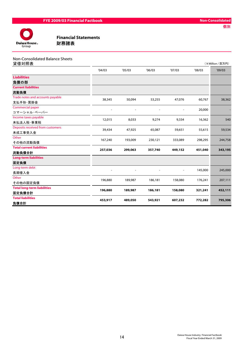

| Non-Consolidated Balance Sheets |  |
|---------------------------------|--|
| $4+1+1=$                        |  |

| 貸借対照表                              |         |         |         |                |         | (¥Million / 百万円) |  |
|------------------------------------|---------|---------|---------|----------------|---------|------------------|--|
|                                    | '04/03  | '05/03  | '06/03  | '07/03         | '08/03  | '09/03           |  |
| <b>Liabilities</b>                 |         |         |         |                |         |                  |  |
| 負債の部                               |         |         |         |                |         |                  |  |
| <b>Current liabilities</b>         |         |         |         |                |         |                  |  |
| 流動負債                               |         |         |         |                |         |                  |  |
| Trade notes and accounts payable   | 38,345  | 50,094  | 53,255  | 47,076         | 60,767  | 38,362           |  |
| 支払手形·買掛金                           |         |         |         |                |         |                  |  |
| Commercial paper                   |         |         |         |                | 20,000  |                  |  |
| コマーシャル・ペーパー                        |         |         |         |                |         |                  |  |
| Income taxes payable               | 12,015  | 8,033   | 9,274   | 9,334          | 16,362  | 540              |  |
| 未払法人税·事業税                          |         |         |         |                |         |                  |  |
| Deposits received from customers   | 39,434  | 47,925  | 65,087  | 59,651         | 55,615  | 59,534           |  |
| 未成工事受入金                            |         |         |         |                |         |                  |  |
| Other                              | 167,240 | 193,009 | 230,121 | 333,089        | 298,295 | 244,758          |  |
| その他の流動負債                           |         |         |         |                |         |                  |  |
| <b>Total current liabilities</b>   | 257,036 | 299,063 | 357,740 | 449,152        | 451,040 | 343,195          |  |
| 流動負債合計                             |         |         |         |                |         |                  |  |
| <b>Long-term liabilities</b>       |         |         |         |                |         |                  |  |
| 固定負債                               |         |         |         |                |         |                  |  |
| Long-term debt                     |         |         |         | $\overline{a}$ | 145,000 | 245,000          |  |
| 長期借入金                              |         |         |         |                |         |                  |  |
| Other                              | 196,880 | 189,987 | 186,181 | 158,080        | 176,241 | 207,111          |  |
| その他の固定負債                           |         |         |         |                |         |                  |  |
| <b>Total long-term liabilities</b> | 196,880 | 189,987 | 186,181 | 158,080        | 321,241 | 452,111          |  |
| 固定負債合計                             |         |         |         |                |         |                  |  |
| <b>Total liabilities</b>           | 453,917 | 489,050 | 543,921 | 607,232        | 772,282 | 795,306          |  |
| 負債合計                               |         |         |         |                |         |                  |  |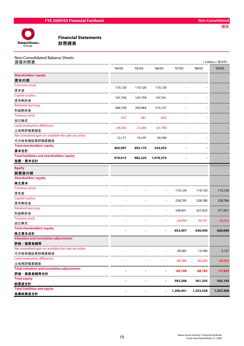

| Non-Consolidated Balance Sheets |  |
|---------------------------------|--|
| 贷进进照主                           |  |

| <u>貸借対照表</u>                                                         |           |           |                              |           |           | (¥Million / 百万円) |
|----------------------------------------------------------------------|-----------|-----------|------------------------------|-----------|-----------|------------------|
|                                                                      | '04/03    | '05/03    | 06/03                        | '07/03    | '08/03    | '09/03           |
| <b>Shareholders' equity</b>                                          |           |           |                              |           |           |                  |
| 資本の部                                                                 |           |           |                              |           |           |                  |
| <b>Common stock</b>                                                  |           |           |                              |           |           |                  |
| 資本金                                                                  | 110,120   | 110,120   | 110,120                      |           |           |                  |
| <b>Capital surplus</b>                                               | 147,756   | 147,759   | 147,761                      |           |           |                  |
| 資本剰余金                                                                |           |           |                              |           |           |                  |
| <b>Retained earnings</b>                                             | 284,739   | 293,964   | 315,157                      |           |           |                  |
| 利益剰余金                                                                |           |           |                              |           |           |                  |
| <b>Treasury stock</b>                                                | $-347$    | $-481$    | $-645$                       |           |           |                  |
| 自己株式                                                                 |           |           |                              |           |           |                  |
| Land revaluation difference                                          | $-89,343$ | $-72,385$ | $-67,709$                    |           |           |                  |
| 土地再評価差額金                                                             |           |           |                              |           |           |                  |
| Net unrealized gain on available-for-sale securities<br>その他有価証券評価差額金 | 12,171    | 14,197    | 29,769                       |           |           |                  |
| <b>Total shareholders' equity</b>                                    |           |           |                              |           |           |                  |
| 資本合計                                                                 | 465,097   | 493,174   | 534,453                      |           |           |                  |
| <b>Total liabilities and shareholders' equity</b><br>負債・資本合計         | 919,015   | 982,225   | 1,078,374                    |           |           |                  |
|                                                                      |           |           |                              |           |           |                  |
| <b>Equity</b>                                                        |           |           |                              |           |           |                  |
| 純資産の部                                                                |           |           |                              |           |           |                  |
| <b>Shareholders' equity</b>                                          |           |           |                              |           |           |                  |
| 株主資本                                                                 |           |           |                              |           |           |                  |
| <b>Common stock</b>                                                  |           |           | $\qquad \qquad \blacksquare$ | 110,120   | 110,120   | 110,120          |
| 資本金                                                                  |           |           |                              |           |           |                  |
| <b>Capital surplus</b><br>資本剰余金                                      |           |           |                              | 228,795   | 228,786   | 228,786          |
| <b>Retained earnings</b>                                             |           |           |                              |           |           |                  |
| 利益剰余金                                                                |           |           | $\overline{a}$               | 339,441   | 327,925   | 317,951          |
| <b>Treasury stock</b>                                                |           |           |                              |           |           |                  |
| 自己株式                                                                 |           |           | $\blacksquare$               | $-24,950$ | $-36,791$ | $-36,810$        |
| <b>Total shareholders' equity</b>                                    |           |           |                              |           |           |                  |
| 株主資本合計                                                               |           |           |                              | 653,407   | 630,040   | 620,046          |
| <b>Valuation and translation adjustments</b>                         |           |           |                              |           |           |                  |
| 評価・換算差額等                                                             |           |           |                              |           |           |                  |
| Net unrealized gain on available-for-sale securities                 |           |           |                              | 29,585    | 13,784    | 3,127            |
| その他有価証券評価差額金                                                         |           |           |                              |           |           |                  |
| Land revaluation difference                                          |           |           |                              | $-89,784$ | $-82,569$ | $-80,980$        |
| 土地再評価差額金                                                             |           |           |                              |           |           |                  |
| <b>Total valuation and translation adjustments</b>                   |           |           |                              | $-60,198$ | $-68,785$ | $-77,853$        |
| 評価・換算差額等合計                                                           |           |           |                              |           |           |                  |
| <b>Total equity</b>                                                  |           |           |                              | 593,208   | 561,255   | 542,193          |
| 純資産合計                                                                |           |           |                              |           |           |                  |
| <b>Total liabilities and equity</b>                                  |           |           |                              | 1,200,441 | 1,333,538 | 1,337,500        |
| 負債純資産合計                                                              |           |           |                              |           |           |                  |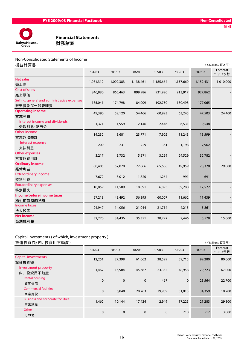

#### Non-Consolidated Statements of Income

| 損益計算書                                        |           |           |           |           |           |           | (¥Million / 百万円)     |
|----------------------------------------------|-----------|-----------|-----------|-----------|-----------|-----------|----------------------|
|                                              | '04/03    | '05/03    | '06/03    | '07/03    | '08/03    | '09/03    | Forecast<br>'10/03予想 |
| <b>Net sales</b>                             | 1,081,312 | 1,092,383 | 1,138,461 | 1,185,664 | 1,157,660 | 1,152,431 | 1,010,000            |
| 売上高                                          |           |           |           |           |           |           |                      |
| Cost of sales                                | 846,880   | 865,463   | 899,986   | 931,920   | 913,917   | 927,862   |                      |
| 売上原価                                         |           |           |           |           |           |           |                      |
| Selling, general and administrative expenses | 185,041   | 174,798   | 184,009   | 192,750   | 180,498   | 177,065   |                      |
| 販売費及び一般管理費                                   |           |           |           |           |           |           |                      |
| <b>Operating income</b>                      | 49,390    | 52,120    | 54,466    | 60,993    | 63,245    | 47,503    | 24,400               |
| 営業利益                                         |           |           |           |           |           |           |                      |
| Interest income and dividends                | 1,371     | 1,959     | 2,146     | 2,446     | 6,531     | 9,548     |                      |
| 受取利息·配当金                                     |           |           |           |           |           |           |                      |
| Other income                                 |           |           |           |           | 11,243    | 13,599    |                      |
| 営業外収益計                                       | 14,232    | 8,681     | 23,771    | 7,902     |           |           |                      |
| Interest expense                             | 209       | 231       | 229       | 361       | 1,198     | 2,962     |                      |
| 支払利息                                         |           |           |           |           |           |           |                      |
| Other expenses                               |           |           |           |           |           |           |                      |
| 営業外費用計                                       | 3,217     | 3,732     | 5,571     | 3,259     | 24,529    | 32,782    |                      |
| <b>Ordinary income</b>                       | 60,405    | 57,070    |           | 65,636    |           |           |                      |
| 経常利益                                         |           |           | 72,666    |           | 49,959    | 28,320    | 29,000               |
| <b>Extraordinary income</b>                  | 7,672     |           | 1,820     | 1,264     | 991       | 691       |                      |
| 特別利益                                         |           | 3,012     |           |           |           |           |                      |
| <b>Extraordinary expenses</b>                | 10,859    | 11,589    | 18,091    |           |           | 17,572    |                      |
| 特別損失                                         |           |           |           | 6,893     | 39,288    |           |                      |
| Income before income taxes                   | 57,218    | 48,492    | 56,395    | 60,007    | 11,662    | 11,439    |                      |
| 税引前当期純利益                                     |           |           |           |           |           |           |                      |
| Income taxes                                 | 24,947    | 14,056    | 21,044    | 21,714    | 4,215     | 5,861     |                      |
| 法人税等                                         |           |           |           |           |           |           |                      |
| <b>Net income</b>                            | 32,270    | 34,436    | 35,351    | 38,292    | 7,446     | 5,578     | 15,000               |
| 当期純利益                                        |           |           |           |           |           |           |                      |

# Capital Investments ( of which, investment property )

設備投資額(内、投資用不動産) (¥Million / 百万円)

| 1以哺1义具1识\1*1\1义具用11`到庄/                          |             |             |             |             |             |        | $\left\langle \begin{array}{c} + & \text{min}(\text{min}) & \text{min}(\text{min}) \end{array} \right\rangle$ |
|--------------------------------------------------|-------------|-------------|-------------|-------------|-------------|--------|---------------------------------------------------------------------------------------------------------------|
|                                                  | '04/03      | '05/03      | '06/03      | '07/03      | '08/03      | '09/03 | Forecast<br>'10/03予想                                                                                          |
| <b>Capital investments</b><br>設備投資額              | 12,251      | 27,398      | 61,062      | 38,599      | 59,715      | 99,280 | 80,000                                                                                                        |
| Investment property<br>内、投資用不動産                  | 1,462       | 16,984      | 45,687      | 23,355      | 48,958      | 79,723 | 67,000                                                                                                        |
| Rental housing<br>賃貸住宅                           | $\mathbf 0$ | $\mathbf 0$ | $\mathbf 0$ | 467         | $\mathbf 0$ | 23,564 | 22,700                                                                                                        |
| <b>Commercial facilities</b><br>商業施設             | $\mathbf 0$ | 6,840       | 28,263      | 19,939      | 31,015      | 34,359 | 10,700                                                                                                        |
| <b>Business and corporate facilities</b><br>事業施設 | 1,462       | 10,144      | 17,424      | 2,949       | 17,225      | 21,283 | 29,800                                                                                                        |
| Other<br>その他                                     | $\mathbf 0$ | $\mathbf 0$ | $\mathbf 0$ | $\mathbf 0$ | 718         | 517    | 3,800                                                                                                         |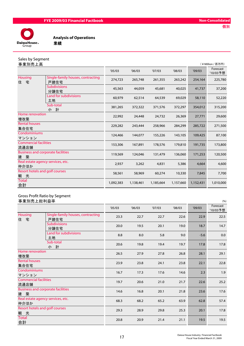

個別



Analysis of Operations

### Sales by Segment

| 事業別売上高                                             |                                           |           |           |           |           |           | (¥Million / 百万円)     |
|----------------------------------------------------|-------------------------------------------|-----------|-----------|-----------|-----------|-----------|----------------------|
|                                                    |                                           | '05/03    | '06/03    | '07/03    | '08/03    | '09/03    | Forecast<br>'10/03予想 |
| <b>Housing</b><br>宅<br>住                           | Single-family houses, contracting<br>戸建住宅 | 274,723   | 265,748   | 261,355   | 263,242   | 254,164   | 225,780              |
|                                                    | <b>Subdivisions</b><br>分譲住宅               | 45,563    | 44,059    | 45,681    | 40,025    | 41,737    | 37,200               |
|                                                    | Land for subdivisions<br>土地               | 60,979    | 62,514    | 64,539    | 69,029    | 58,110    | 52,220               |
|                                                    | Sub-total<br>計<br>小                       | 381,265   | 372,322   | 371,576   | 372,297   | 354,012   | 315,200              |
| Home renovation<br>増改築                             |                                           | 22,992    | 24,448    | 24,732    | 26,369    | 27,771    | 29,600               |
| <b>Rental houses</b><br>集合住宅                       |                                           | 229,282   | 243,444   | 258,966   | 284,299   | 285,722   | 271,500              |
| Condominiums<br>マンション                              |                                           | 124,466   | 144,077   | 155,226   | 143,105   | 109,425   | 87,100               |
| <b>Commercial facilities</b><br>流通店舗               |                                           | 153,306   | 167,891   | 178,576   | 179,810   | 191,735   | 173,800              |
| <b>Business and corporate facilities</b><br>築<br>建 |                                           | 119,569   | 124,046   | 131,479   | 136,060   | 171,253   | 120,500              |
| Real estate agency services, etc.<br>仲介ほか          |                                           | 2,937     | 3,262     | 4,831     | 5,386     | 4,664     | 4,600                |
| Resort hotels and golf courses<br>光<br>観           |                                           | 58,561    | 58,969    | 60,274    | 10,330    | 7,845     | 7,700                |
| <b>Total</b><br>合計                                 |                                           | 1,092,383 | 1,138,461 | 1,185,664 | 1,157,660 | 1,152,431 | 1,010,000            |
|                                                    |                                           |           |           |           |           |           |                      |

#### Gross Profit Ratio by Segment 事業別売上総利益率 (%)

| 字木加儿工秘型亚十                                       |                                           |        |        |        |        |        |                      |
|-------------------------------------------------|-------------------------------------------|--------|--------|--------|--------|--------|----------------------|
|                                                 |                                           | '05/03 | '06/03 | '07/03 | '08/03 | '09/03 | Forecast<br>'10/03予想 |
| <b>Housing</b><br>住宅                            | Single-family houses, contracting<br>戸建住宅 | 23.3   | 22.7   | 22.7   | 22.6   | 22.9   | 22.5                 |
|                                                 | <b>Subdivisions</b><br>分譲住宅               | 20.0   | 19.5   | 20.1   | 19.0   | 18.7   | 14.7                 |
|                                                 | Land for subdivisions<br>土地               | 8.8    | 8.0    | 5.8    | 9.0    | $-5.6$ | 0.0                  |
|                                                 | Sub-total<br>小 計                          | 20.6   | 19.8   | 19.4   | 19.7   | 17.8   | 17.8                 |
| Home renovation<br>増改築                          |                                           | 26.5   | 27.9   | 27.8   | 26.8   | 28.1   | 29.1                 |
| <b>Rental houses</b><br>集合住宅                    |                                           | 23.9   | 23.8   | 24.1   | 23.8   | 22.1   | 22.8                 |
| Condominiums<br>マンション                           |                                           | 16.7   | 17.3   | 17.6   | 14.6   | 2.3    | 1.9                  |
| <b>Commercial facilities</b><br>流通店舗            |                                           | 19.7   | 20.6   | 21.0   | 21.7   | 22.6   | 25.2                 |
| <b>Business and corporate facilities</b><br>建 築 |                                           | 14.6   | 16.8   | 20.1   | 21.8   | 23.6   | 17.6                 |
| Real estate agency services, etc.<br>仲介ほか       |                                           | 68.3   | 68.2   | 65.2   | 63.9   | 62.8   | 57.4                 |
| Resort hotels and golf courses<br>観光            |                                           | 29.3   | 28.9   | 29.8   | 25.3   | 20.1   | 17.8                 |
| <b>Total</b><br>合計                              |                                           | 20.8   | 20.9   | 21.4   | 21.1   | 19.5   | 19.5                 |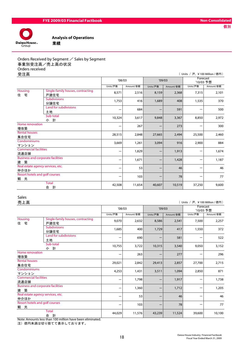

Analysis of Operations

# Orders Received by Segment  $\angle$  Sales by Segment 事業別受注高/売上高の状況 Orders received<br>受注意

| 受注高                                                |                                           |          |           |          |           | ( Units / 戸, ¥100 Million / 億円) |                       |
|----------------------------------------------------|-------------------------------------------|----------|-----------|----------|-----------|---------------------------------|-----------------------|
|                                                    |                                           | '08/03   |           |          | '09/03    |                                 | Forecast<br>'10/03 予想 |
|                                                    |                                           | Units/戸数 | Amount/金額 | Units/戸数 | Amount/金額 | Units/戸数                        | Amount/金額             |
| <b>Housing</b><br>宅<br>住                           | Single-family houses, contracting<br>戸建住宅 | 8,571    | 2,516     | 8,159    | 2,368     | 7,315                           | 2,101                 |
|                                                    | <b>Subdivisions</b><br>分譲住宅               | 1,753    | 416       | 1,689    | 408       | 1,535                           | 370                   |
|                                                    | Land for subdivisions<br>土地               |          | 684       |          | 591       |                                 | 500                   |
|                                                    | Sub-total<br>計<br>小                       | 10,324   | 3,617     | 9,848    | 3,367     | 8,850                           | 2,972                 |
| Home renovation<br>増改築                             |                                           |          | 267       |          | 273       |                                 | 300                   |
| <b>Rental houses</b><br>集合住宅                       |                                           | 28,515   | 2,848     | 27,665   | 2,494     | 25,500                          | 2,460                 |
| Condominiums<br>マンション                              |                                           | 3,669    | 1,261     | 3,094    | 916       | 2,900                           | 884                   |
| <b>Commercial facilities</b><br>流通店舗               |                                           |          | 1,829     |          | 1,913     |                                 | 1,674                 |
| <b>Business and corporate facilities</b><br>築<br>建 |                                           |          | 1,671     |          | 1,428     |                                 | 1,187                 |
| Real estate agency services, etc.<br>仲介ほか          |                                           |          | 53        |          | 46        |                                 | 46                    |
| Resort hotels and golf courses<br>光<br>観           |                                           |          | 103       |          | 78        |                                 | 77                    |
|                                                    | <b>Total</b><br>計<br>合                    | 42,508   | 11,654    | 40,607   | 10,519    | 37,250                          | 9,600                 |

#### Sales

| 売上高<br>( Units / 戸, ¥100 Million / 億円)             |                                           |          |           |          |           |                       |           |  |
|----------------------------------------------------|-------------------------------------------|----------|-----------|----------|-----------|-----------------------|-----------|--|
|                                                    |                                           | '08/03   |           | '09/03   |           | Forecast<br>'10/03 予想 |           |  |
|                                                    |                                           | Units/戸数 | Amount/金額 | Units/戸数 | Amount/金額 | Units/戸数              | Amount/金額 |  |
| Housing<br>住宅                                      | Single-family houses, contracting<br>戸建住宅 | 9,070    | 2,632     | 8,586    | 2,541     | 7,500                 | 2,257     |  |
|                                                    | <b>Subdivisions</b><br>分譲住宅               | 1,685    | 400       | 1,729    | 417       | 1,550                 | 372       |  |
|                                                    | Land for subdivisions<br>土地               |          | 690       |          | 581       |                       | 522       |  |
|                                                    | Sub-total<br>小計                           | 10,755   | 3,722     | 10,315   | 3,540     | 9,050                 | 3,152     |  |
| Home renovation<br>増改築                             |                                           |          | 263       |          | 277       |                       | 296       |  |
| <b>Rental houses</b><br>集合住宅                       |                                           | 29,021   | 2,842     | 29,413   | 2,857     | 27,700                | 2,715     |  |
| Condominiums<br>マンション                              |                                           | 4,253    | 1,431     | 3,511    | 1,094     | 2,850                 | 871       |  |
| <b>Commercial facilities</b><br>流通店舗               |                                           |          | 1,798     |          | 1,917     |                       | 1,738     |  |
| <b>Business and corporate facilities</b><br>築<br>建 |                                           |          | 1,360     |          | 1,712     |                       | 1,205     |  |
| Real estate agency services, etc.<br>仲介ほか          |                                           |          | 53        |          | 46        |                       | 46        |  |
| Resort hotels and golf courses<br>光<br>観           |                                           |          | 103       |          | 78        | -                     | 77        |  |
|                                                    | <b>Total</b><br>計<br>合                    | 44,029   | 11,576    | 43,239   | 11,524    | 39,600                | 10,100    |  |

Note: Amounts less than 100 million have been eliminated.

注)億円未満は切り捨てて表示しております。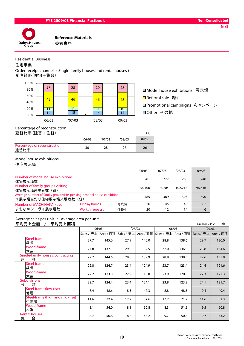

Residential Business

住宅事業

Order receipt channels ( Single-family houses and rental houses ) 受注経路(住宅+集合)



■Model house exhibitions 展示場 **□** Referral sale 紹介 Promotional campaigns キャンペーン □Other その他

Percentage of reconstruction

| 建替比率(建替+住替) |  |  |
|-------------|--|--|
|-------------|--|--|

| 建替比率(建替+住替)                          |        |        |        | (%)    |
|--------------------------------------|--------|--------|--------|--------|
|                                      | '06/03 | '07/03 | '08/03 | '09/03 |
| Percentage of reconstruction<br>建替比率 | 30     | 28     |        | 26     |

#### Model house exhibitions

住宅展示場

|                                                                                             |                         |     | '06/03  | '07/03  | '08/03  | '09/03 |
|---------------------------------------------------------------------------------------------|-------------------------|-----|---------|---------|---------|--------|
| Number of model house exhibitions<br>住宅展示場数                                                 |                         |     | 281     | 277     | 260     | 248    |
| Number of family groups visiting<br>住宅展示場来場者数 (組)                                           |                         |     | 136.406 | 107.704 | 102,218 | 96,616 |
| Average number of family group visits per single model house exhibition<br>1展示場当たり住宅展示場来場者数 | (組)                     |     | 485     | 389     | 393     | 390    |
| Number of MACHINAKA-xevo                                                                    | <b>Display homes</b>    | 完成済 | 26      | 45      | 48      | 82     |
| まちなかジーヴォ展示場数                                                                                | <b>Works in process</b> | 仕掛中 | 20      | 12      | 14      | 6      |

#### Average sales per unit / Average area per unit

平均売上金額 / 平均売上面積 (¥million / 百万円、㎡)

|   |                                        |            | '06/03    |            | '07/03    |            | '08/03    | '09/03     |           |
|---|----------------------------------------|------------|-----------|------------|-----------|------------|-----------|------------|-----------|
|   |                                        | Sales / 売上 | Area / 面積 | Sales / 売上 | Area / 面積 | Sales / 売上 | Area / 面積 | Sales / 売上 | Area / 面積 |
|   | Steel-frame<br>鉄骨                      | 27.7       | 145.0     | 27.9       | 140.0     | 28.8       | 138.6     | 29.7       | 136.0     |
|   | Wood-frame<br>木造                       | 27.8       | 137.3     | 29.8       | 137.5     | 32.0       | 136.9     | 28.8       | 134.6     |
| 戸 | Single-family houses, contracting<br>建 | 27.7       | 144.6     | 28.0       | 139.9     | 28.9       | 138.5     | 29.6       | 135.9     |
|   | Steel-frame<br>鉄骨                      | 22.8       | 124.7     | 23.4       | 124.9     | 23.7       | 123.4     | 24.4       | 121.6     |
|   | Wood-frame<br>木造                       | 22.2       | 123.0     | 22.9       | 118.0     | 23.9       | 120.8     | 22.3       | 122.3     |
| 分 | <b>Subdivisions</b><br>譲               | 22.7       | 124.4     | 23.4       | 124.1     | 23.8       | 123.2     | 24.1       | 121.7     |
|   | Steel-frame (low-rise)<br>低層           | 8.4        | 48.6      | 8.5        | 47.3      | 8.8        | 48.5      | 9.4        | 49.4      |
|   | Steel-frame (high and mid-rise)<br>中高層 | 11.6       | 72.4      | 12.7       | 57.6      | 17.7       | 71.7      | 11.6       | 82.3      |
|   | Wood-frame<br>木造                       | 8.1        | 54.0      | 8.1        | 50.8      | 8.3        | 51.5      | 9.5        | 60.8      |
| 集 | <b>Rental houses</b><br>合              | 8.7        | 50.8      | 8.8        | 48.2      | 9.7        | 50.8      | 9.7        | 53.2      |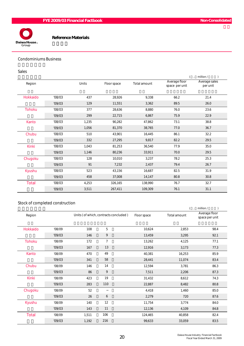



#### Condominiums Business

#### Sales

|               |        |       |             |              |                                 | million /                 |
|---------------|--------|-------|-------------|--------------|---------------------------------|---------------------------|
| Region        |        | Units | Floor space | Total amount | Average floor<br>space per unit | Average sales<br>per unit |
| Hokkaido      | '08/03 | 437   | 28,926      | 9,338        | 66.2                            | 21.4                      |
|               | '09/03 | 129   | 11,551      | 3,362        | 89.5                            | 26.0                      |
| <b>Tohoku</b> | '08/03 | 377   | 28,636      | 8,880        | 76.0                            | 23.6                      |
|               | '09/03 | 299   | 22,715      | 6,867        | 75.9                            | 22.9                      |
| Kanto         | '08/03 | 1,235 | 90,282      | 47,862       | 73.1                            | 38.8                      |
|               | '09/03 | 1,056 | 81,370      | 38,765       | 77.0                            | 36.7                      |
| Chubu         | '08/03 | 510   | 43,901      | 16,445       | 86.1                            | 32.2                      |
|               | '09/03 | 332   | 27,295      | 9,817        | 82.2                            | 29.5                      |
| <b>Kinki</b>  | '08/03 | 1,043 | 81,253      | 36,540       | 77.9                            | 35.0                      |
|               | '09/03 | 1,146 | 80,236      | 33,911       | 70.0                            | 29.5                      |
| Chugoku       | '08/03 | 128   | 10,010      | 3,237        | 78.2                            | 25.3                      |
|               | '09/03 | 91    | 7,232       | 2,437        | 79.4                            | 26.7                      |
| Kyushu        | '08/03 | 523   | 43,156      | 16,687       | 82.5                            | 31.9                      |
|               | '09/03 | 458   | 37,008      | 14,147       | 80.8                            | 30.8                      |
| <b>Total</b>  | '08/03 | 4,253 | 326,165     | 138,990      | 76.7                            | 32.7                      |
|               | '09/03 | 3,511 | 267,411     | 109,309      | 76.1                            | 31.1                      |

### Stock of completed construction

|               |        |       |                                       |             | $\left( \quad ,\right)$ | million /                       |
|---------------|--------|-------|---------------------------------------|-------------|-------------------------|---------------------------------|
| Region        |        |       | Units (of which, contracts concluded) | Floor space | Total amount            | Average floor<br>space per unit |
| Hokkaido      | '08/09 | 108   | 5                                     | 10,624      | 2,853                   | 98.4                            |
|               | '09/03 | 146   | 9                                     | 13,459      | 3,295                   | 92.1                            |
| <b>Tohoku</b> | '08/09 | 172   | $\overline{7}$                        | 13,262      | 4,125                   | 77.1                            |
|               | '09/03 | 167   | 13                                    | 12,916      | 3,173                   | 77.3                            |
| Kanto         | '08/09 | 470   | 49                                    | 40,381      | 16,253                  | 85.9                            |
|               | '09/03 | 341   | 58                                    | 28,441      | 11,074                  | 83.4                            |
| Chubu         | '08/09 | 146   | 14                                    | 12,594      | 3,781                   | 86.3                            |
|               | '09/03 | 86    | 9                                     | 7,511       | 2,206                   | 87.3                            |
| <b>Kinki</b>  | '08/09 | 423   | 19                                    | 31,432      | 8,612                   | 74.3                            |
|               | '09/03 | 283   | 110                                   | 22,887      | 8,482                   | 80.8                            |
| Chugoku       | '08/09 | 52    |                                       | 4,418       | 1,460                   | 85.0                            |
|               | '09/03 | 26    | 6                                     | 2,279       | 720                     | 87.6                            |
| Kyushu        | '08/09 | 140   | 12                                    | 11,754      | 3,774                   | 84.0                            |
|               | '09/03 | 143   | 11                                    | 12,136      | 4,109                   | 84.8                            |
| <b>Total</b>  | '08/09 | 1,511 | 106                                   | 124,465     | 40,858                  | 82.4                            |
|               | '09/03 | 1,192 | 216                                   | 99,633      | 33,059                  | 83.5                            |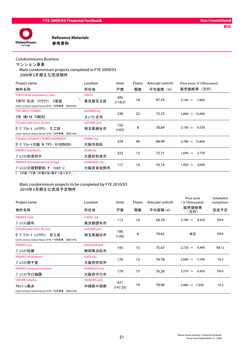

#### Condominiums Business

マンション事業

Main condominium projects completed in FYE 2009/03

2009年3月期主な完成物件

| Project name                                                             | Location              | Units   | Floors | Area per unit(m <sup>2</sup> ) | Price zone (¥10thousand) |  |
|--------------------------------------------------------------------------|-----------------------|---------|--------|--------------------------------|--------------------------|--|
| 物件名称                                                                     | 所在地                   | 戸数      | 階数     | 平均面積 (m <sup>2</sup> )         | 販売価格帯(万円)                |  |
| <b>TOKYO BLUE (Aquaterra), C area</b>                                    | <b>TOKYO</b>          | 395     |        |                                |                          |  |
| TOKYO BLUE (77777)<br>C街区<br>(Joint venture: Daiwa House 30%/共同事業:当社30%) | 東京都足立区                | (118.5) | 18     | 97.74                          | 7,800<br>$3,100 \sim$    |  |
| THE OMIYA TOWERS                                                         | <b>SAITAMA city</b>   | 238     | 22     | 73.23                          | $2,800 \sim 13,980$      |  |
| THE OMIYA TOWERS                                                         | さいたま市                 |         |        |                                |                          |  |
| D'Grafort lake town, II zone                                             | SAITAMA pref.         | 150     |        |                                |                          |  |
| D' グラフォート レイクタウン<br>Ⅱ工区<br>(Joint venture: Daiwa House 70%/共同事業: 当社70%)  | 埼玉県越谷市                | (105)   | 8      | 78.69                          | $3,100 \sim$<br>6,530    |  |
| D'Grafort OSAKA N.Y TOWER HIGOBASHI                                      | <b>OSAKA city</b>     | 329     | 46     | 68.40                          | $2,780 \sim 15,800$      |  |
| D' グラフォート大阪 N.Yタワー HIGOBASHI                                             | 大阪市西区                 |         |        |                                |                          |  |
| PREMIST izumifuchu                                                       | <b>IZUMI city</b>     | 323     | 13     | 73.71                          | $1,640 \sim$<br>3,720    |  |
| プレミスト和泉府中                                                                | 大阪府和泉市                |         |        |                                |                          |  |
| PREMIST hinenoekimae the fortage                                         | <b>IZUMISANO city</b> | 117     | 14     | 70.14                          | 3,690<br>$1,950 \sim$    |  |
| プレミスト日根野駅前 ザ・フォルテージ<br>大阪府泉佐野市                                           |                       |         |        |                                |                          |  |
| ↓ 10℃2争 17℃2争 14℃2争よ《タ1+末+半へ セ ロ 十 -ナ                                    |                       |         |        |                                |                          |  |

\* 18F建・17F建・14F建が各1棟ずつあります。

#### Main condominium projects to be completed by FYE 2010/03 2010年3月期主な完成予定物件

| Project name                                    | Location              | <b>Units</b> | <b>Floors</b> | Area per unit(m <sup>2</sup> ) | Price zone<br>(¥10thousand) | Scheduled<br>completion |
|-------------------------------------------------|-----------------------|--------------|---------------|--------------------------------|-----------------------------|-------------------------|
| 物件名称                                            | 所在地                   | 戸数           | 階数            | 平均面積(m <sup>2</sup> )          | 販売価格帯<br>(万円)               | 完成予定                    |
| <b>PREMIST chofu</b>                            | <b>CHOFU city</b>     | 112          | 10            | 58.79                          | $2,780 \sim$<br>6,920       | '09.9                   |
| プレミスト調布                                         | 東京都調布市                |              |               |                                |                             |                         |
| D'Grafort lake town, III zone                   | SAITAMA pref.         | 180          | 8             | 78.65                          |                             | '09.8                   |
| D' グラフォート レイクタウン<br>Ⅲ工区                         | 埼玉県越谷市                | (126)        |               |                                | 未定                          |                         |
| (Joint venture; Daiwa House 70%/共同事業: 当社70%)    |                       |              |               |                                |                             |                         |
| <b>PREMIST sato</b>                             | SHIZUOKA pref.        | 145          | 15            | 75.47                          | $2,720 \sim$<br>4,490       | '09.12                  |
| プレミスト佐藤                                         | 静岡県浜松市                |              |               |                                |                             |                         |
| <b>PREMIST minamisenri</b>                      | <b>SUITA city</b>     | 176          | 13            | 76.78                          | $2,680 \sim$<br>7,390       | '10.3                   |
| プレミスト南千里                                        | 大阪府吹田市                |              |               |                                |                             |                         |
| PREMIST moriguchi umezono                       | <b>MORIGUCHI city</b> |              | 15            | 76.28                          | $2,570 \sim$<br>6,450       | '09.6'                  |
| プレミスト守口梅園                                       | 大阪府守口市                | 179          |               |                                |                             |                         |
| <b>URTORE</b> mihama                            | OKINAWA pref.         | 421          | 19            | 78.08                          | $2,480 \sim$<br>7,940       | '10.3                   |
| アルトゥーレ美浜                                        | 沖縄県中頭郡                | (147.35)     |               |                                |                             |                         |
| (Joint venture; Daiwa House 35 % / 共同事業: 当社35%) |                       |              |               |                                |                             |                         |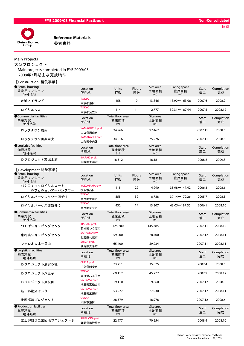

#### Main Projects

【Construction 請負事業】

大型プロジェクト Main projects completed in FYE 2009/03 2009年3月期主な完成物件

| Rental housing<br>賃貸用マンション<br>物件名称           | Location<br>所在地                 | Units<br>戸数                                   | Floors<br>階数 | Site area<br>土地面積<br>(m <sup>2</sup> ) | Living space<br>住戸面積<br>(m <sup>3</sup> ) | Start<br>着工 | Completion<br>完成 |
|----------------------------------------------|---------------------------------|-----------------------------------------------|--------------|----------------------------------------|-------------------------------------------|-------------|------------------|
| 芝浦アイランド                                      | <b>TOKYO</b><br>東京都港区           | 158                                           | 9            | 13,846                                 | $18.90 \sim 63.08$                        | 2007.6      | 2008.9           |
| ロイヤルKJ                                       | <b>TOKYO</b><br>東京都足立区          | 114                                           | 14           | 2,777                                  | $30.31 - 87.94$                           | 2007.5      | 2008.12          |
| Commercial facilities<br>商業施設<br>物件名称        | Location<br>所在地                 | Total floor area<br>延床面積<br>(m <sup>2</sup> ) |              | Site area<br>土地面積<br>(m <sup>2</sup> ) |                                           | Start<br>着工 | Completion<br>完成 |
| ロックタウン周南                                     | YAMAGUCHI pref.<br>山口県周南市       | 24,966                                        |              | 97,462                                 |                                           | 2007.11     | 2008.6           |
| ロックタウン山梨中央                                   | YAMANASHI pref.<br>山梨県中央区       | 34,016                                        |              | 75,276                                 |                                           | 2007.11     | 2008.6           |
| Logistics facilities<br>物流施設<br>物件名称         | Location<br>所在地                 | Total floor area<br>延床面積<br>(m <sup>2</sup> ) |              | Site area<br>土地面積<br>(m <sup>2</sup> ) |                                           | Start<br>着工 | Completion<br>完成 |
| D プロジェクト茨城土浦                                 | <b>IBARAKI</b> pref.<br>茨城県土浦市  | 18,512                                        |              | 18,181                                 |                                           | 2008.8      | 2009.3           |
| 【Development 開発事業】                           |                                 |                                               |              |                                        |                                           |             |                  |
| <b>ORental housing</b><br>賃貸用マンション<br>物件名称   | Location<br>所在地                 | Units<br>戸数                                   | Floors<br>階数 | Site area<br>土地面積<br>(m <sup>2</sup> ) | Living space<br>住戸面積<br>(m <sup>3</sup> ) | Start<br>着工 | Completion<br>完成 |
| パシフィックロイヤルコート<br>みなとみらいアーバンタワー               | YOKOHAMA city<br>横浜市西区          | 415                                           | 29           | 4,990                                  | $38.98 \sim 147.42$                       | 2006.3      | 2008.6           |
| ロイヤルパークスタワー南千住                               | <b>TOKYO</b><br>東京都荒川区          | 555                                           | 39           | 8,738                                  | 37.14~170.26                              | 2005.7      | 2008.5           |
| ロイヤルパークス西新井 I                                | <b>TOKYO</b><br>東京都足立区          | 432                                           | 14           | 13,307                                 | $43.05 \sim 187.35$                       | 2006.1      | 2008.10          |
| Commercial facilities<br>商業施設<br>物件名称        | Location<br>所在地                 | Total floor area<br>延床面積<br>(m <sup>2</sup> ) |              | Site area<br>土地面積<br>(m <sup>2</sup> ) |                                           | Start<br>着工 | Completion<br>完成 |
| つくばショッピングセンター                                | <b>IBARAKI</b> pref.<br>茨城県つくば市 | 125,200                                       |              | 145,385                                |                                           | 2007.11     | 2008.10          |
| 東札幌ショッピングセンター                                | <b>SAPPORO city</b><br>北海道札幌市   | 59,000                                        |              | 28,700                                 |                                           | 2007.12     | 2008.11          |
| フォレオ大津一里山                                    | SHIGA pref.<br>滋賀県大津市           | 65,400                                        |              | 59,234                                 |                                           | 2007.11     | 2008.11          |
| <b>OLogistics facilities</b><br>物流施設<br>物件名称 | Location<br>所在地                 | Total floor area<br>延床面積<br>(m <sup>2</sup> ) |              | Site area<br>土地面積<br>(m <sup>2</sup> ) |                                           | Start<br>着工 | Completion<br>完成 |
| Dプロジェクト浦安D棟                                  | CHIBA pref.<br>千葉県浦安市           | 73,211                                        |              | 35,875                                 |                                           | 2007.4      | 2008.6           |
| Dプロジェクトハ王子                                   | <b>TOKYO</b><br>東京都八王子市         | 69,112                                        |              | 45,277                                 |                                           | 2007.9      | 2008.12          |
| Dプロジェクト東松山                                   | SAITAMA pref.<br>埼玉県東松山市        | 19,110                                        |              | 9,660                                  |                                           | 2007.12     | 2008.9           |
| 新三郷物流センター                                    | SAITAMA pref.<br>埼玉県三郷市         | 53,927                                        |              | 27,930                                 |                                           | 2007.12     | 2008.11          |
| 港区福崎プロジェクト                                   | <b>OSAKA</b><br>大阪市港区           | 28,579                                        |              | 18,978                                 |                                           | 2007.12     | 2008.6           |
| ● Production facilities<br>生産施設<br>物件名称      | Location<br>所在地                 | Total floor area<br>延床面積<br>(m <sup>2</sup> ) |              | Site area<br>土地面積<br>(m <sup>2</sup> ) |                                           | Start<br>着工 | Completion<br>完成 |
| 富士御殿場工業団地プロジェクトS                             | SHIZUOKA pref.<br>静岡県御殿場市       | 22,977                                        |              | 70,554                                 |                                           | 2008.4      | 2008.10          |